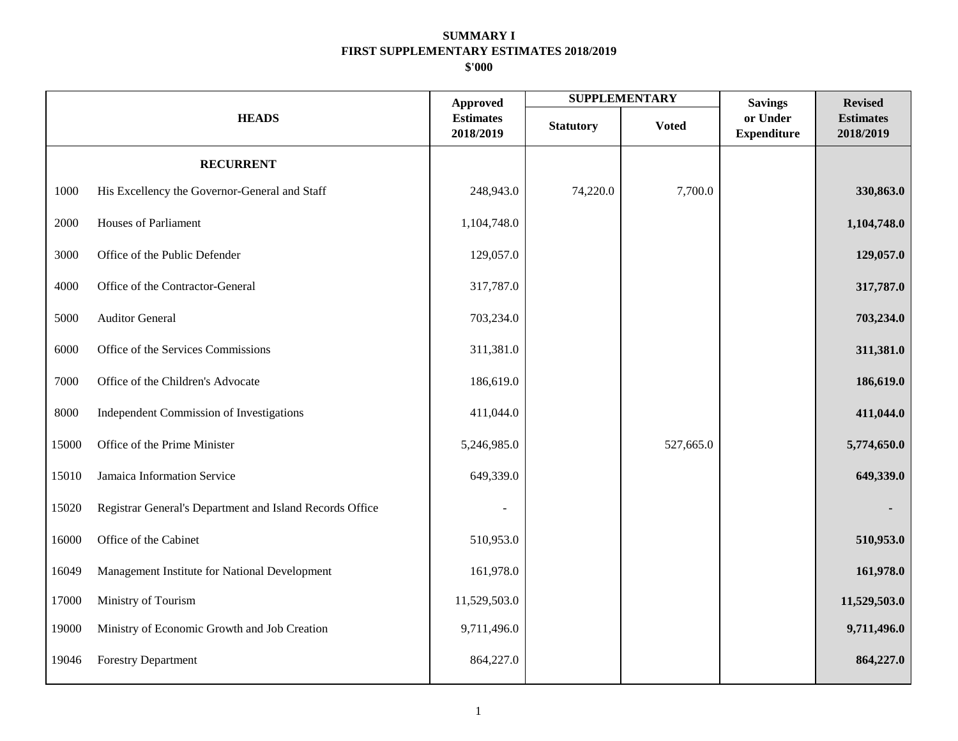|       |                                                          | <b>Approved</b>               |                  | <b>SUPPLEMENTARY</b> | <b>Savings</b>                 | <b>Revised</b>                |
|-------|----------------------------------------------------------|-------------------------------|------------------|----------------------|--------------------------------|-------------------------------|
|       | <b>HEADS</b>                                             | <b>Estimates</b><br>2018/2019 | <b>Statutory</b> | <b>Voted</b>         | or Under<br><b>Expenditure</b> | <b>Estimates</b><br>2018/2019 |
|       | <b>RECURRENT</b>                                         |                               |                  |                      |                                |                               |
| 1000  | His Excellency the Governor-General and Staff            | 248,943.0                     | 74,220.0         | 7,700.0              |                                | 330,863.0                     |
| 2000  | <b>Houses of Parliament</b>                              | 1,104,748.0                   |                  |                      |                                | 1,104,748.0                   |
| 3000  | Office of the Public Defender                            | 129,057.0                     |                  |                      |                                | 129,057.0                     |
| 4000  | Office of the Contractor-General                         | 317,787.0                     |                  |                      |                                | 317,787.0                     |
| 5000  | <b>Auditor General</b>                                   | 703,234.0                     |                  |                      |                                | 703,234.0                     |
| 6000  | Office of the Services Commissions                       | 311,381.0                     |                  |                      |                                | 311,381.0                     |
| 7000  | Office of the Children's Advocate                        | 186,619.0                     |                  |                      |                                | 186,619.0                     |
| 8000  | Independent Commission of Investigations                 | 411,044.0                     |                  |                      |                                | 411,044.0                     |
| 15000 | Office of the Prime Minister                             | 5,246,985.0                   |                  | 527,665.0            |                                | 5,774,650.0                   |
| 15010 | Jamaica Information Service                              | 649,339.0                     |                  |                      |                                | 649,339.0                     |
| 15020 | Registrar General's Department and Island Records Office |                               |                  |                      |                                |                               |
| 16000 | Office of the Cabinet                                    | 510,953.0                     |                  |                      |                                | 510,953.0                     |
| 16049 | Management Institute for National Development            | 161,978.0                     |                  |                      |                                | 161,978.0                     |
| 17000 | Ministry of Tourism                                      | 11,529,503.0                  |                  |                      |                                | 11,529,503.0                  |
| 19000 | Ministry of Economic Growth and Job Creation             | 9,711,496.0                   |                  |                      |                                | 9,711,496.0                   |
| 19046 | <b>Forestry Department</b>                               | 864,227.0                     |                  |                      |                                | 864,227.0                     |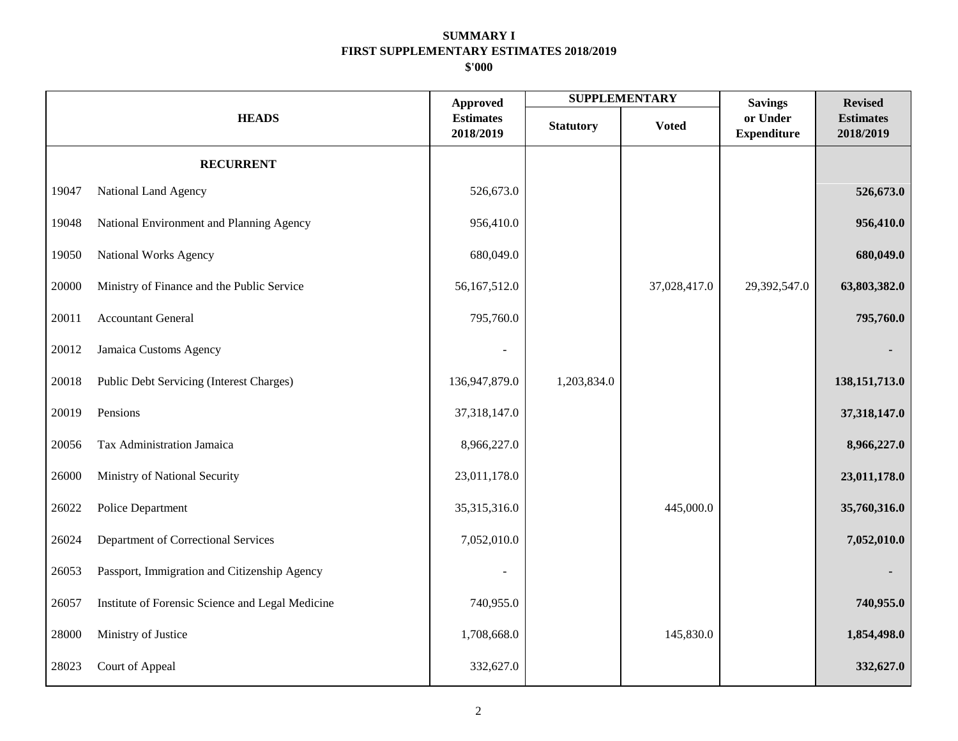|       |                                                  | <b>Approved</b>               | <b>SUPPLEMENTARY</b> |              | <b>Savings</b>                 | <b>Revised</b>                |
|-------|--------------------------------------------------|-------------------------------|----------------------|--------------|--------------------------------|-------------------------------|
|       | <b>HEADS</b>                                     | <b>Estimates</b><br>2018/2019 | <b>Statutory</b>     | <b>Voted</b> | or Under<br><b>Expenditure</b> | <b>Estimates</b><br>2018/2019 |
|       | <b>RECURRENT</b>                                 |                               |                      |              |                                |                               |
| 19047 | National Land Agency                             | 526,673.0                     |                      |              |                                | 526,673.0                     |
| 19048 | National Environment and Planning Agency         | 956,410.0                     |                      |              |                                | 956,410.0                     |
| 19050 | National Works Agency                            | 680,049.0                     |                      |              |                                | 680,049.0                     |
| 20000 | Ministry of Finance and the Public Service       | 56,167,512.0                  |                      | 37,028,417.0 | 29,392,547.0                   | 63,803,382.0                  |
| 20011 | <b>Accountant General</b>                        | 795,760.0                     |                      |              |                                | 795,760.0                     |
| 20012 | Jamaica Customs Agency                           |                               |                      |              |                                |                               |
| 20018 | Public Debt Servicing (Interest Charges)         | 136,947,879.0                 | 1,203,834.0          |              |                                | 138, 151, 713.0               |
| 20019 | Pensions                                         | 37,318,147.0                  |                      |              |                                | 37,318,147.0                  |
| 20056 | Tax Administration Jamaica                       | 8,966,227.0                   |                      |              |                                | 8,966,227.0                   |
| 26000 | Ministry of National Security                    | 23,011,178.0                  |                      |              |                                | 23,011,178.0                  |
| 26022 | Police Department                                | 35,315,316.0                  |                      | 445,000.0    |                                | 35,760,316.0                  |
| 26024 | Department of Correctional Services              | 7,052,010.0                   |                      |              |                                | 7,052,010.0                   |
| 26053 | Passport, Immigration and Citizenship Agency     |                               |                      |              |                                |                               |
| 26057 | Institute of Forensic Science and Legal Medicine | 740,955.0                     |                      |              |                                | 740,955.0                     |
| 28000 | Ministry of Justice                              | 1,708,668.0                   |                      | 145,830.0    |                                | 1,854,498.0                   |
| 28023 | Court of Appeal                                  | 332,627.0                     |                      |              |                                | 332,627.0                     |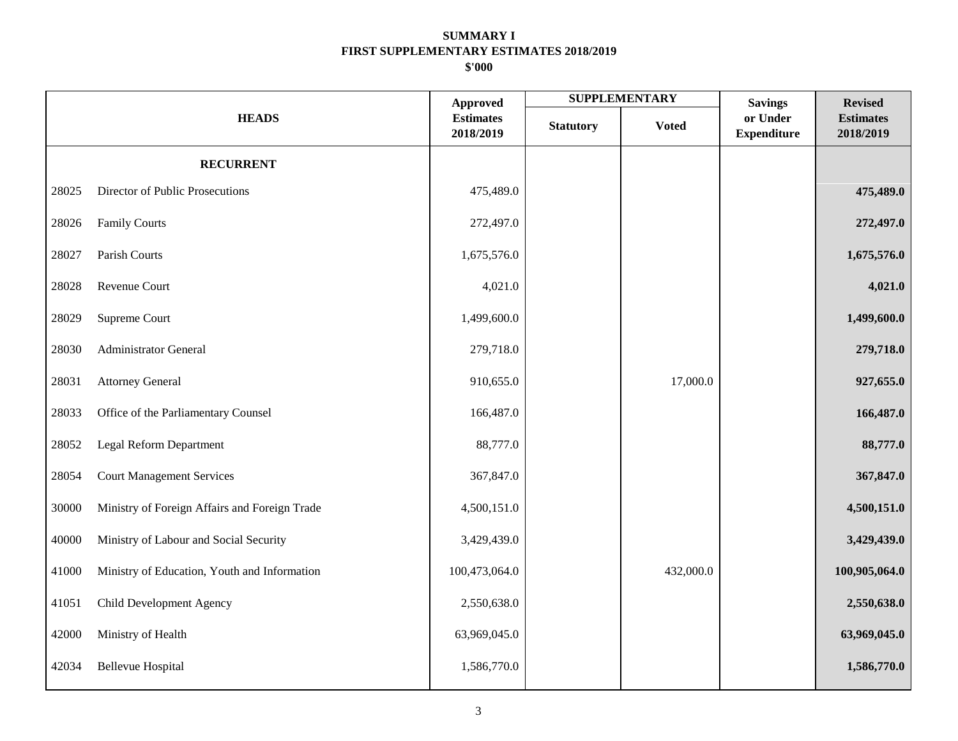|       |                                               |                                                  |                  | <b>SUPPLEMENTARY</b> | <b>Savings</b>                 | <b>Revised</b>                |
|-------|-----------------------------------------------|--------------------------------------------------|------------------|----------------------|--------------------------------|-------------------------------|
|       | <b>HEADS</b>                                  | <b>Approved</b><br><b>Estimates</b><br>2018/2019 | <b>Statutory</b> | <b>Voted</b>         | or Under<br><b>Expenditure</b> | <b>Estimates</b><br>2018/2019 |
|       | <b>RECURRENT</b>                              |                                                  |                  |                      |                                |                               |
| 28025 | Director of Public Prosecutions               | 475,489.0                                        |                  |                      |                                | 475,489.0                     |
| 28026 | <b>Family Courts</b>                          | 272,497.0                                        |                  |                      |                                | 272,497.0                     |
| 28027 | Parish Courts                                 | 1,675,576.0                                      |                  |                      |                                | 1,675,576.0                   |
| 28028 | Revenue Court                                 | 4,021.0                                          |                  |                      |                                | 4,021.0                       |
| 28029 | Supreme Court                                 | 1,499,600.0                                      |                  |                      |                                | 1,499,600.0                   |
| 28030 | Administrator General                         | 279,718.0                                        |                  |                      |                                | 279,718.0                     |
| 28031 | <b>Attorney General</b>                       | 910,655.0                                        |                  | 17,000.0             |                                | 927,655.0                     |
| 28033 | Office of the Parliamentary Counsel           | 166,487.0                                        |                  |                      |                                | 166,487.0                     |
| 28052 | Legal Reform Department                       | 88,777.0                                         |                  |                      |                                | 88,777.0                      |
| 28054 | <b>Court Management Services</b>              | 367,847.0                                        |                  |                      |                                | 367,847.0                     |
| 30000 | Ministry of Foreign Affairs and Foreign Trade | 4,500,151.0                                      |                  |                      |                                | 4,500,151.0                   |
| 40000 | Ministry of Labour and Social Security        | 3,429,439.0                                      |                  |                      |                                | 3,429,439.0                   |
| 41000 | Ministry of Education, Youth and Information  | 100,473,064.0                                    |                  | 432,000.0            |                                | 100,905,064.0                 |
| 41051 | Child Development Agency                      | 2,550,638.0                                      |                  |                      |                                | 2,550,638.0                   |
| 42000 | Ministry of Health                            | 63,969,045.0                                     |                  |                      |                                | 63,969,045.0                  |
| 42034 | <b>Bellevue Hospital</b>                      | 1,586,770.0                                      |                  |                      |                                | 1,586,770.0                   |
|       |                                               |                                                  |                  |                      |                                |                               |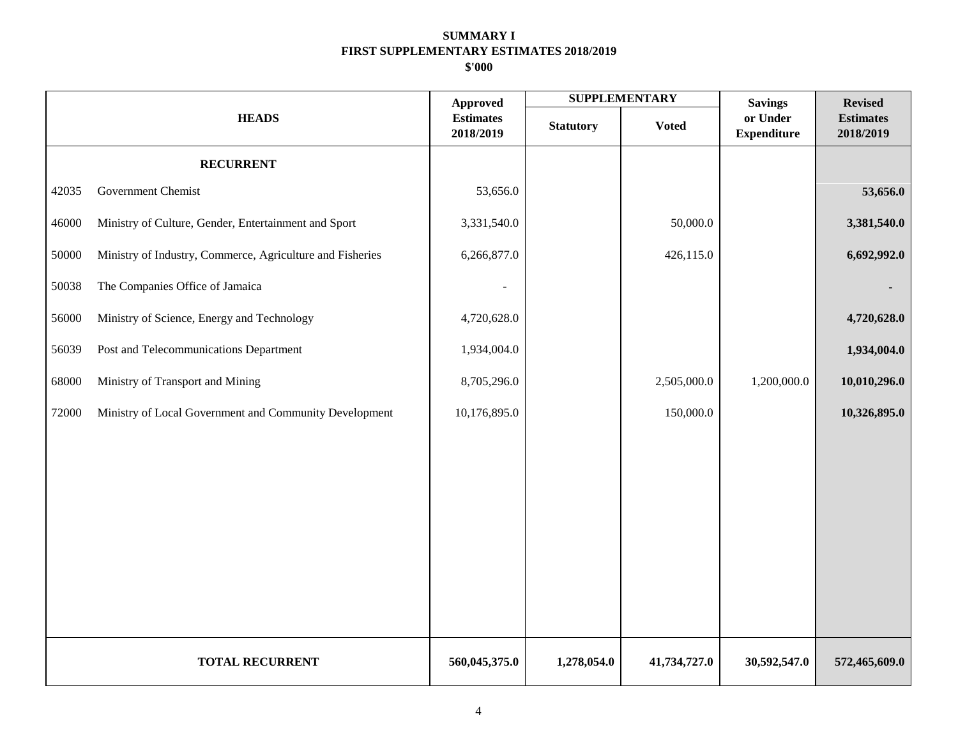|       |                                                           | <b>Approved</b>               |                  | <b>SUPPLEMENTARY</b> | <b>Savings</b>                 | <b>Revised</b>                |
|-------|-----------------------------------------------------------|-------------------------------|------------------|----------------------|--------------------------------|-------------------------------|
|       | <b>HEADS</b>                                              | <b>Estimates</b><br>2018/2019 | <b>Statutory</b> | <b>Voted</b>         | or Under<br><b>Expenditure</b> | <b>Estimates</b><br>2018/2019 |
|       | <b>RECURRENT</b>                                          |                               |                  |                      |                                |                               |
| 42035 | Government Chemist                                        | 53,656.0                      |                  |                      |                                | 53,656.0                      |
| 46000 | Ministry of Culture, Gender, Entertainment and Sport      | 3,331,540.0                   |                  | 50,000.0             |                                | 3,381,540.0                   |
| 50000 | Ministry of Industry, Commerce, Agriculture and Fisheries | 6,266,877.0                   |                  | 426,115.0            |                                | 6,692,992.0                   |
| 50038 | The Companies Office of Jamaica                           |                               |                  |                      |                                |                               |
| 56000 | Ministry of Science, Energy and Technology                | 4,720,628.0                   |                  |                      |                                | 4,720,628.0                   |
| 56039 | Post and Telecommunications Department                    | 1,934,004.0                   |                  |                      |                                | 1,934,004.0                   |
| 68000 | Ministry of Transport and Mining                          | 8,705,296.0                   |                  | 2,505,000.0          | 1,200,000.0                    | 10,010,296.0                  |
| 72000 | Ministry of Local Government and Community Development    | 10,176,895.0                  |                  | 150,000.0            |                                | 10,326,895.0                  |
|       |                                                           |                               |                  |                      |                                |                               |
|       |                                                           |                               |                  |                      |                                |                               |
|       |                                                           |                               |                  |                      |                                |                               |
|       |                                                           |                               |                  |                      |                                |                               |
|       |                                                           |                               |                  |                      |                                |                               |
|       |                                                           |                               |                  |                      |                                |                               |
|       |                                                           |                               |                  |                      |                                |                               |
|       | <b>TOTAL RECURRENT</b>                                    | 560,045,375.0                 | 1,278,054.0      | 41,734,727.0         | 30,592,547.0                   | 572,465,609.0                 |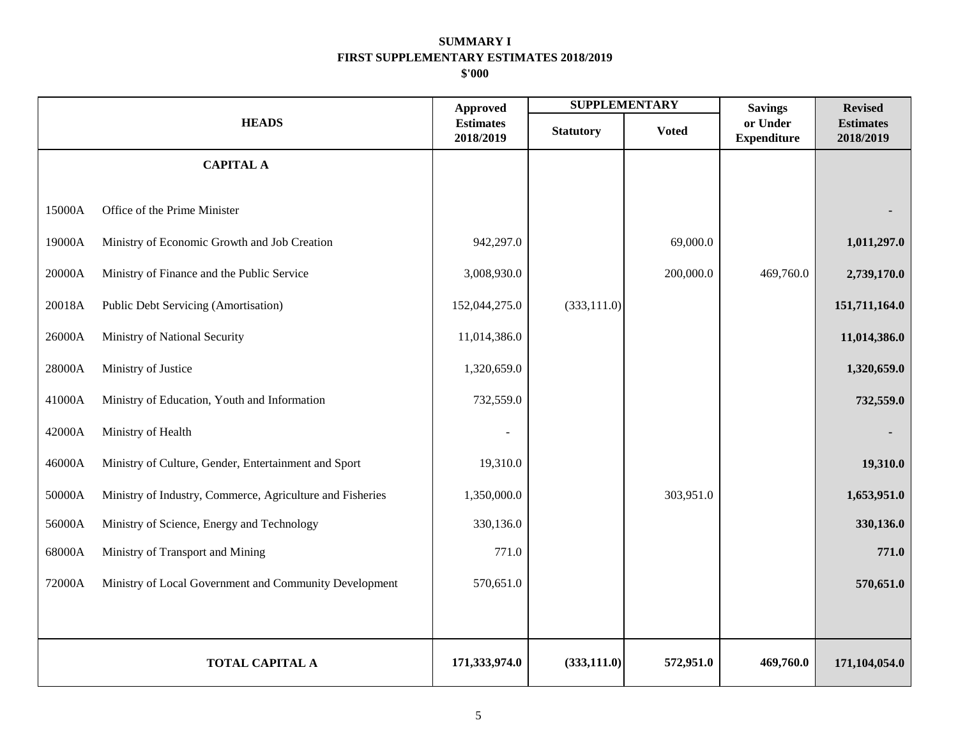|        |                                                           | <b>Approved</b>               |                  | <b>SUPPLEMENTARY</b> | <b>Savings</b>                 | <b>Revised</b>                |
|--------|-----------------------------------------------------------|-------------------------------|------------------|----------------------|--------------------------------|-------------------------------|
|        | <b>HEADS</b>                                              | <b>Estimates</b><br>2018/2019 | <b>Statutory</b> | <b>Voted</b>         | or Under<br><b>Expenditure</b> | <b>Estimates</b><br>2018/2019 |
|        | <b>CAPITAL A</b>                                          |                               |                  |                      |                                |                               |
| 15000A | Office of the Prime Minister                              |                               |                  |                      |                                |                               |
| 19000A | Ministry of Economic Growth and Job Creation              | 942,297.0                     |                  | 69,000.0             |                                | 1,011,297.0                   |
| 20000A | Ministry of Finance and the Public Service                | 3,008,930.0                   |                  | 200,000.0            | 469,760.0                      | 2,739,170.0                   |
| 20018A | Public Debt Servicing (Amortisation)                      | 152,044,275.0                 | (333, 111.0)     |                      |                                | 151,711,164.0                 |
| 26000A | Ministry of National Security                             | 11,014,386.0                  |                  |                      |                                | 11,014,386.0                  |
| 28000A | Ministry of Justice                                       | 1,320,659.0                   |                  |                      |                                | 1,320,659.0                   |
| 41000A | Ministry of Education, Youth and Information              | 732,559.0                     |                  |                      |                                | 732,559.0                     |
| 42000A | Ministry of Health                                        |                               |                  |                      |                                |                               |
| 46000A | Ministry of Culture, Gender, Entertainment and Sport      | 19,310.0                      |                  |                      |                                | 19,310.0                      |
| 50000A | Ministry of Industry, Commerce, Agriculture and Fisheries | 1,350,000.0                   |                  | 303,951.0            |                                | 1,653,951.0                   |
| 56000A | Ministry of Science, Energy and Technology                | 330,136.0                     |                  |                      |                                | 330,136.0                     |
| 68000A | Ministry of Transport and Mining                          | 771.0                         |                  |                      |                                | 771.0                         |
| 72000A | Ministry of Local Government and Community Development    | 570,651.0                     |                  |                      |                                | 570,651.0                     |
|        |                                                           |                               |                  |                      |                                |                               |
|        | <b>TOTAL CAPITAL A</b>                                    | 171,333,974.0                 | (333, 111.0)     | 572,951.0            | 469,760.0                      | 171,104,054.0                 |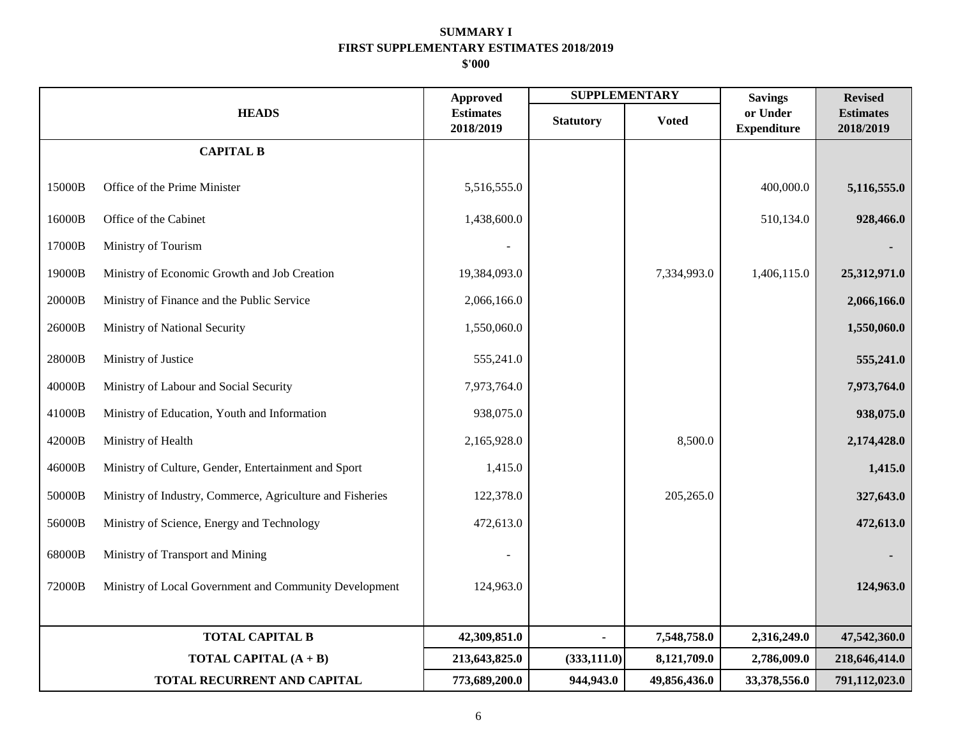|        |                                                           | <b>Approved</b>               | <b>SUPPLEMENTARY</b> |              | <b>Savings</b>                 | <b>Revised</b>                |
|--------|-----------------------------------------------------------|-------------------------------|----------------------|--------------|--------------------------------|-------------------------------|
|        | <b>HEADS</b>                                              | <b>Estimates</b><br>2018/2019 | <b>Statutory</b>     | <b>Voted</b> | or Under<br><b>Expenditure</b> | <b>Estimates</b><br>2018/2019 |
|        | <b>CAPITAL B</b>                                          |                               |                      |              |                                |                               |
| 15000B | Office of the Prime Minister                              | 5,516,555.0                   |                      |              | 400,000.0                      | 5,116,555.0                   |
| 16000B | Office of the Cabinet                                     | 1,438,600.0                   |                      |              | 510,134.0                      | 928,466.0                     |
| 17000B | Ministry of Tourism                                       |                               |                      |              |                                |                               |
| 19000B | Ministry of Economic Growth and Job Creation              | 19,384,093.0                  |                      | 7,334,993.0  | 1,406,115.0                    | 25,312,971.0                  |
| 20000B | Ministry of Finance and the Public Service                | 2,066,166.0                   |                      |              |                                | 2,066,166.0                   |
| 26000B | Ministry of National Security                             | 1,550,060.0                   |                      |              |                                | 1,550,060.0                   |
| 28000B | Ministry of Justice                                       | 555,241.0                     |                      |              |                                | 555,241.0                     |
| 40000B | Ministry of Labour and Social Security                    | 7,973,764.0                   |                      |              |                                | 7,973,764.0                   |
| 41000B | Ministry of Education, Youth and Information              | 938,075.0                     |                      |              |                                | 938,075.0                     |
| 42000B | Ministry of Health                                        | 2,165,928.0                   |                      | 8,500.0      |                                | 2,174,428.0                   |
| 46000B | Ministry of Culture, Gender, Entertainment and Sport      | 1,415.0                       |                      |              |                                | 1,415.0                       |
| 50000B | Ministry of Industry, Commerce, Agriculture and Fisheries | 122,378.0                     |                      | 205,265.0    |                                | 327,643.0                     |
| 56000B | Ministry of Science, Energy and Technology                | 472,613.0                     |                      |              |                                | 472,613.0                     |
| 68000B | Ministry of Transport and Mining                          |                               |                      |              |                                |                               |
| 72000B | Ministry of Local Government and Community Development    | 124,963.0                     |                      |              |                                | 124,963.0                     |
|        |                                                           |                               |                      |              |                                |                               |
|        | <b>TOTAL CAPITAL B</b>                                    | 42,309,851.0                  |                      | 7,548,758.0  | 2,316,249.0                    | 47,542,360.0                  |
|        | <b>TOTAL CAPITAL</b> $(A + B)$                            | 213,643,825.0                 | (333, 111.0)         | 8,121,709.0  | 2,786,009.0                    | 218,646,414.0                 |
|        | TOTAL RECURRENT AND CAPITAL                               | 773,689,200.0                 | 944,943.0            | 49,856,436.0 | 33,378,556.0                   | 791,112,023.0                 |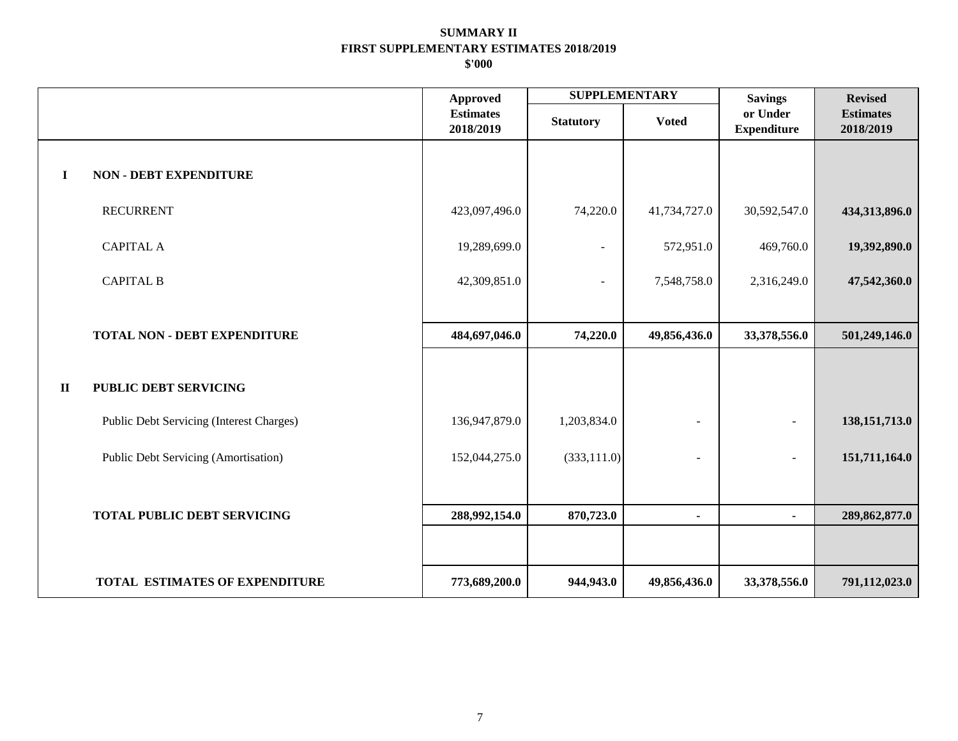|              |                                          | <b>Approved</b>               | <b>SUPPLEMENTARY</b>     |                | <b>Savings</b>                 | <b>Revised</b>                |
|--------------|------------------------------------------|-------------------------------|--------------------------|----------------|--------------------------------|-------------------------------|
|              |                                          | <b>Estimates</b><br>2018/2019 | <b>Statutory</b>         | <b>Voted</b>   | or Under<br><b>Expenditure</b> | <b>Estimates</b><br>2018/2019 |
| $\mathbf I$  | <b>NON - DEBT EXPENDITURE</b>            |                               |                          |                |                                |                               |
|              | <b>RECURRENT</b>                         | 423,097,496.0                 | 74,220.0                 | 41,734,727.0   | 30,592,547.0                   | 434,313,896.0                 |
|              | <b>CAPITAL A</b>                         | 19,289,699.0                  | $\overline{\phantom{a}}$ | 572,951.0      | 469,760.0                      | 19,392,890.0                  |
|              | <b>CAPITAL B</b>                         | 42,309,851.0                  | $\blacksquare$           | 7,548,758.0    | 2,316,249.0                    | 47,542,360.0                  |
|              |                                          |                               |                          |                |                                |                               |
|              | TOTAL NON - DEBT EXPENDITURE             | 484,697,046.0                 | 74,220.0                 | 49,856,436.0   | 33,378,556.0                   | 501,249,146.0                 |
| $\mathbf{I}$ | <b>PUBLIC DEBT SERVICING</b>             |                               |                          |                |                                |                               |
|              | Public Debt Servicing (Interest Charges) | 136,947,879.0                 | 1,203,834.0              | $\blacksquare$ | $\overline{\phantom{a}}$       | 138, 151, 713.0               |
|              | Public Debt Servicing (Amortisation)     | 152,044,275.0                 | (333, 111.0)             | $\overline{a}$ | $\overline{a}$                 | 151,711,164.0                 |
|              |                                          |                               |                          |                |                                |                               |
|              | <b>TOTAL PUBLIC DEBT SERVICING</b>       | 288,992,154.0                 | 870,723.0                | $\blacksquare$ | $\blacksquare$                 | 289,862,877.0                 |
|              |                                          |                               |                          |                |                                |                               |
|              | TOTAL ESTIMATES OF EXPENDITURE           | 773,689,200.0                 | 944,943.0                | 49,856,436.0   | 33,378,556.0                   | 791,112,023.0                 |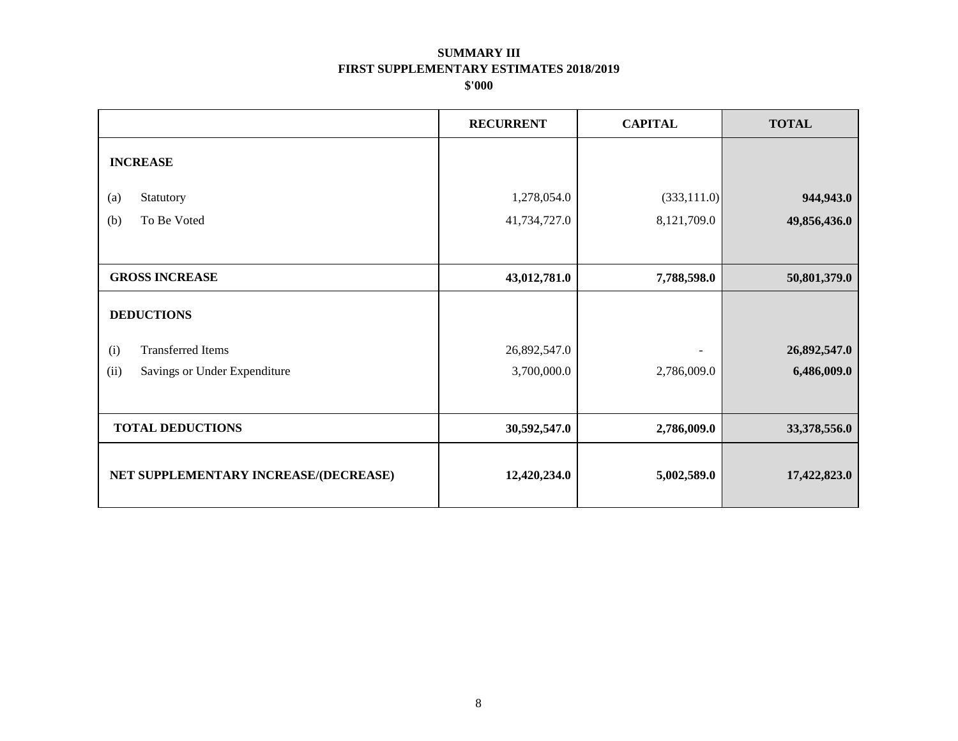|                                       | <b>RECURRENT</b> | <b>CAPITAL</b>           | <b>TOTAL</b> |
|---------------------------------------|------------------|--------------------------|--------------|
| <b>INCREASE</b>                       |                  |                          |              |
|                                       |                  |                          |              |
| Statutory<br>(a)                      | 1,278,054.0      | (333,111.0)              | 944,943.0    |
| To Be Voted<br>(b)                    | 41,734,727.0     | 8,121,709.0              | 49,856,436.0 |
|                                       |                  |                          |              |
| <b>GROSS INCREASE</b>                 | 43,012,781.0     | 7,788,598.0              | 50,801,379.0 |
| <b>DEDUCTIONS</b>                     |                  |                          |              |
| <b>Transferred Items</b><br>(i)       | 26,892,547.0     | $\overline{\phantom{a}}$ | 26,892,547.0 |
| (ii)<br>Savings or Under Expenditure  | 3,700,000.0      | 2,786,009.0              | 6,486,009.0  |
|                                       |                  |                          |              |
| <b>TOTAL DEDUCTIONS</b>               | 30,592,547.0     | 2,786,009.0              | 33,378,556.0 |
| NET SUPPLEMENTARY INCREASE/(DECREASE) | 12,420,234.0     | 5,002,589.0              | 17,422,823.0 |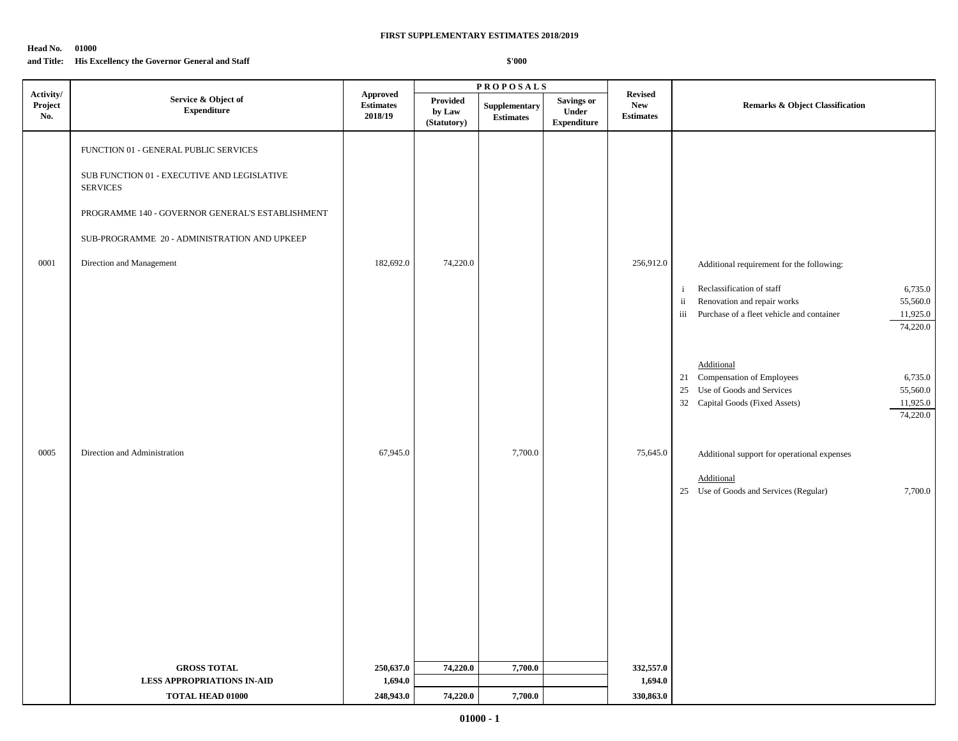### **Head No. 01000**

## **and Title: His Excellency the Governor General and Staff**

|                             |                                                                                                                                                                                                                                         |                                                |                                   | <b>PROPOSALS</b>                  |                                                  |                                                  |                                                                                                                                                                                                                                                                                |  |
|-----------------------------|-----------------------------------------------------------------------------------------------------------------------------------------------------------------------------------------------------------------------------------------|------------------------------------------------|-----------------------------------|-----------------------------------|--------------------------------------------------|--------------------------------------------------|--------------------------------------------------------------------------------------------------------------------------------------------------------------------------------------------------------------------------------------------------------------------------------|--|
| Activity/<br>Project<br>No. | Service & Object of<br>${\bf Expenditure}$                                                                                                                                                                                              | <b>Approved</b><br><b>Estimates</b><br>2018/19 | Provided<br>by Law<br>(Statutory) | Supplementary<br><b>Estimates</b> | <b>Savings or</b><br>Under<br><b>Expenditure</b> | <b>Revised</b><br><b>New</b><br><b>Estimates</b> | <b>Remarks &amp; Object Classification</b>                                                                                                                                                                                                                                     |  |
| 0001                        | FUNCTION 01 - GENERAL PUBLIC SERVICES<br>SUB FUNCTION 01 - EXECUTIVE AND LEGISLATIVE<br><b>SERVICES</b><br>PROGRAMME 140 - GOVERNOR GENERAL'S ESTABLISHMENT<br>SUB-PROGRAMME 20 - ADMINISTRATION AND UPKEEP<br>Direction and Management | 182,692.0                                      | 74,220.0                          |                                   |                                                  | 256,912.0                                        | Additional requirement for the following:<br>Reclassification of staff<br>6,735.0<br>$\mathbf{i}$<br>Renovation and repair works<br>55,560.0<br>$\ddot{\mathbf{i}}$<br>iii Purchase of a fleet vehicle and container<br>11,925.0<br>74,220.0                                   |  |
| 0005                        | Direction and Administration                                                                                                                                                                                                            | 67,945.0                                       |                                   | 7,700.0                           |                                                  | 75,645.0                                         | Additional<br>21 Compensation of Employees<br>6,735.0<br>25 Use of Goods and Services<br>55,560.0<br>32 Capital Goods (Fixed Assets)<br>11,925.0<br>74,220.0<br>Additional support for operational expenses<br>Additional<br>25 Use of Goods and Services (Regular)<br>7,700.0 |  |
|                             | <b>GROSS TOTAL</b><br>LESS APPROPRIATIONS IN-AID<br><b>TOTAL HEAD 01000</b>                                                                                                                                                             | 250,637.0<br>1,694.0<br>248,943.0              | 74,220.0<br>74,220.0              | 7,700.0<br>7,700.0                |                                                  | 332,557.0<br>1,694.0<br>330,863.0                |                                                                                                                                                                                                                                                                                |  |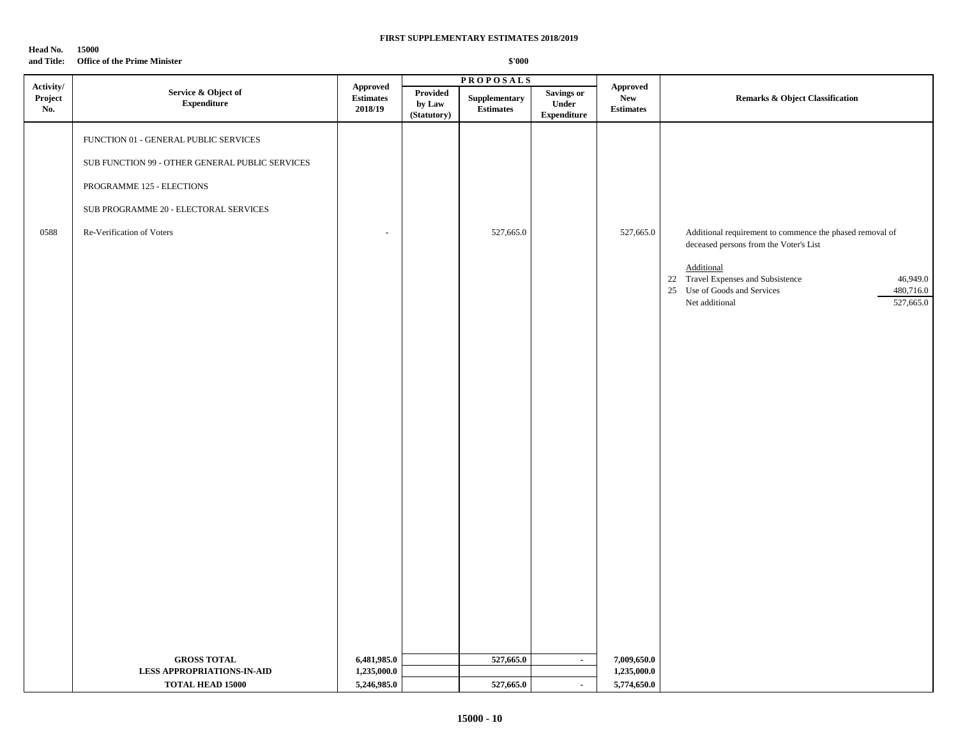| Head No. | 15000 |  |
|----------|-------|--|
|----------|-------|--|

## **and Title: Office of the Prime Minister**

|                             |                                                                                                                                                                                             |                                                                                                                   |                                   | <b>PROPOSALS</b>                  |                                                   |                                            |                                                                                                                                                                                                                                                |
|-----------------------------|---------------------------------------------------------------------------------------------------------------------------------------------------------------------------------------------|-------------------------------------------------------------------------------------------------------------------|-----------------------------------|-----------------------------------|---------------------------------------------------|--------------------------------------------|------------------------------------------------------------------------------------------------------------------------------------------------------------------------------------------------------------------------------------------------|
| Activity/<br>Project<br>No. | Service & Object of<br><b>Expenditure</b>                                                                                                                                                   | <b>Approved</b><br>$\begin{minipage}{.4\linewidth} Estimates \end{minipage} \vspace{-0.000\textwidth}$<br>2018/19 | Provided<br>by Law<br>(Statutory) | Supplementary<br><b>Estimates</b> | <b>Savings or</b><br>Under<br>${\bf Expenditure}$ | Approved<br><b>New</b><br><b>Estimates</b> | Remarks & Object Classification                                                                                                                                                                                                                |
| 0588                        | FUNCTION 01 - GENERAL PUBLIC SERVICES<br>SUB FUNCTION 99 - OTHER GENERAL PUBLIC SERVICES<br>PROGRAMME 125 - ELECTIONS<br>SUB PROGRAMME 20 - ELECTORAL SERVICES<br>Re-Verification of Voters |                                                                                                                   |                                   | 527,665.0                         |                                                   | 527,665.0                                  | Additional requirement to commence the phased removal of<br>deceased persons from the Voter's List<br>Additional<br>22 Travel Expenses and Subsistence<br>46,949.0<br>25 Use of Goods and Services<br>480,716.0<br>527,665.0<br>Net additional |
|                             | <b>GROSS TOTAL</b><br><b>LESS APPROPRIATIONS-IN-AID</b><br><b>TOTAL HEAD 15000</b>                                                                                                          | 6,481,985.0<br>1,235,000.0<br>5,246,985.0                                                                         |                                   | 527,665.0<br>527,665.0            | $\sim$<br>$\sim$                                  | 7,009,650.0<br>1,235,000.0<br>5,774,650.0  |                                                                                                                                                                                                                                                |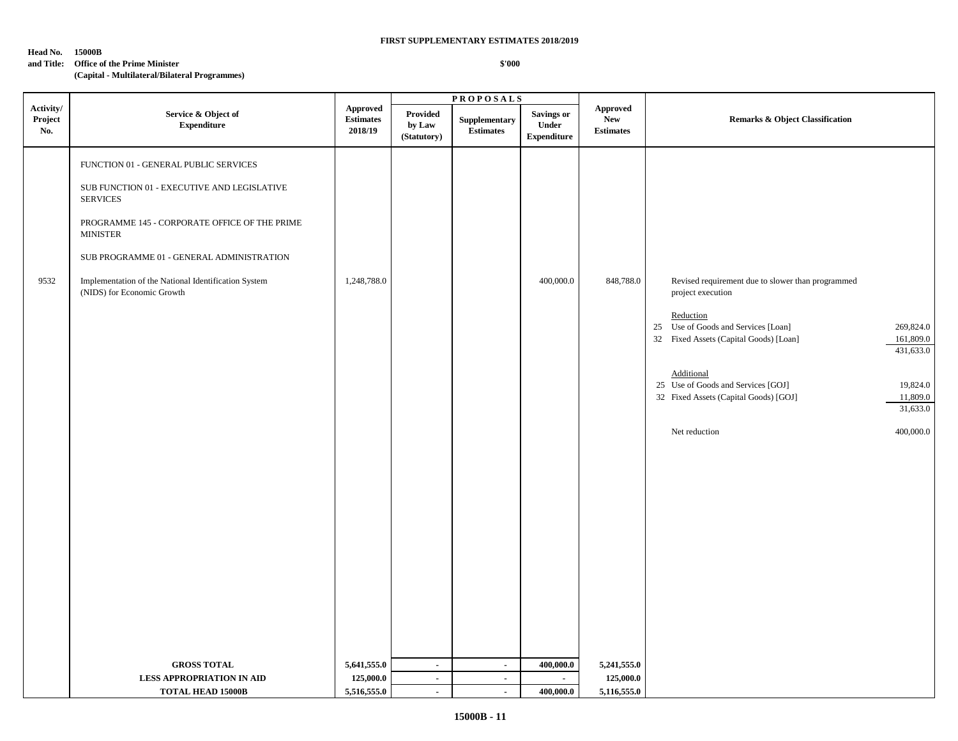#### **Head No. 15000B**

#### **and Title: Office of the Prime Minister**

## **(Capital - Multilateral/Bilateral Programmes)**

|                             |                                                                                                                                                                                                                                                                                                                |                                                                        |                                   | <b>PROPOSALS</b>                  |                                                  |                                                   |                                                                                                                                                                                                                                                                                    |                                                                                      |
|-----------------------------|----------------------------------------------------------------------------------------------------------------------------------------------------------------------------------------------------------------------------------------------------------------------------------------------------------------|------------------------------------------------------------------------|-----------------------------------|-----------------------------------|--------------------------------------------------|---------------------------------------------------|------------------------------------------------------------------------------------------------------------------------------------------------------------------------------------------------------------------------------------------------------------------------------------|--------------------------------------------------------------------------------------|
| Activity/<br>Project<br>No. | Service & Object of<br><b>Expenditure</b>                                                                                                                                                                                                                                                                      | <b>Approved</b><br>$\label{p:estimates} \textbf{Estimates}$<br>2018/19 | Provided<br>by Law<br>(Statutory) | Supplementary<br><b>Estimates</b> | <b>Savings or</b><br>Under<br><b>Expenditure</b> | <b>Approved</b><br><b>New</b><br><b>Estimates</b> | <b>Remarks &amp; Object Classification</b>                                                                                                                                                                                                                                         |                                                                                      |
| 9532                        | FUNCTION 01 - GENERAL PUBLIC SERVICES<br>SUB FUNCTION 01 - EXECUTIVE AND LEGISLATIVE<br><b>SERVICES</b><br>PROGRAMME 145 - CORPORATE OFFICE OF THE PRIME<br><b>MINISTER</b><br>SUB PROGRAMME 01 - GENERAL ADMINISTRATION<br>Implementation of the National Identification System<br>(NIDS) for Economic Growth | 1,248,788.0                                                            |                                   |                                   | 400,000.0                                        | 848,788.0                                         | Revised requirement due to slower than programmed<br>project execution<br>Reduction<br>25 Use of Goods and Services [Loan]<br>32 Fixed Assets (Capital Goods) [Loan]<br>Additional<br>25 Use of Goods and Services [GOJ]<br>32 Fixed Assets (Capital Goods) [GOJ]<br>Net reduction | 269,824.0<br>161,809.0<br>431,633.0<br>19,824.0<br>11,809.0<br>31,633.0<br>400,000.0 |
|                             | <b>GROSS TOTAL</b>                                                                                                                                                                                                                                                                                             | 5,641,555.0                                                            | $\sim$                            | $\sim$                            | 400,000.0                                        | 5,241,555.0                                       |                                                                                                                                                                                                                                                                                    |                                                                                      |
|                             | <b>LESS APPROPRIATION IN AID</b>                                                                                                                                                                                                                                                                               | 125,000.0                                                              | $\blacksquare$                    | $\sim$                            | $\sim$                                           | 125,000.0                                         |                                                                                                                                                                                                                                                                                    |                                                                                      |
|                             | <b>TOTAL HEAD 15000B</b>                                                                                                                                                                                                                                                                                       | 5,516,555.0                                                            | $\sim$                            | $\sim$                            | 400,000.0                                        | 5,116,555.0                                       |                                                                                                                                                                                                                                                                                    |                                                                                      |
|                             |                                                                                                                                                                                                                                                                                                                |                                                                        |                                   |                                   |                                                  |                                                   |                                                                                                                                                                                                                                                                                    |                                                                                      |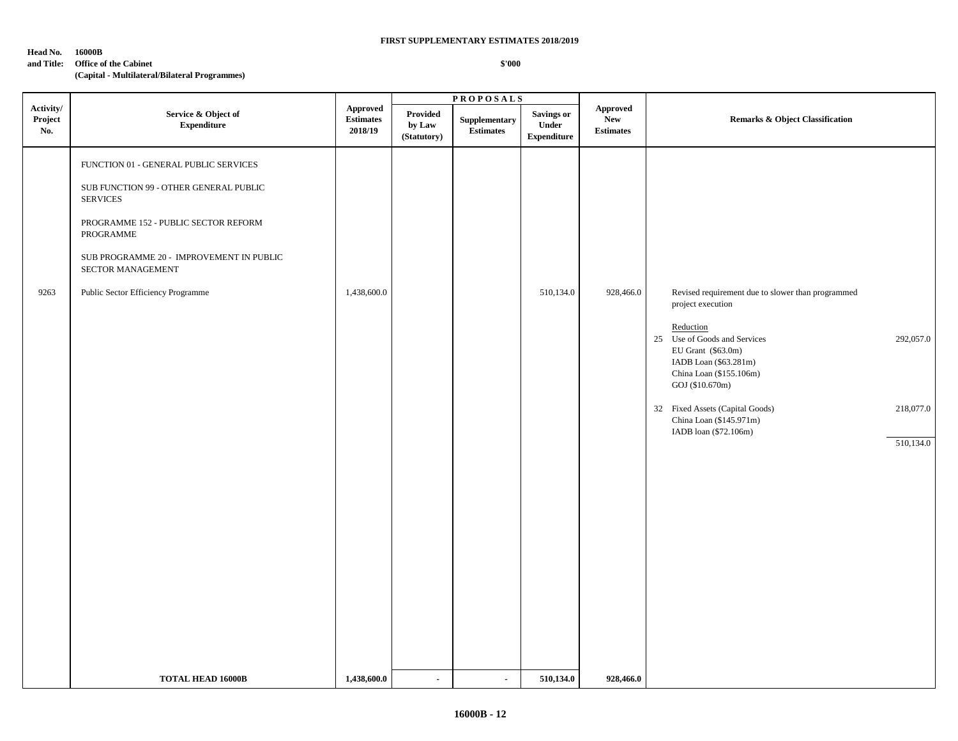#### **Head No. 16000B**

**and Title: Office of the Cabinet**

## **(Capital - Multilateral/Bilateral Programmes)**

|                             |                                                                                                                                                                                                                                                                               |                                                                  |                                          | <b>PROPOSALS</b>           |                                           |                                                   |                                                                                                                                                                          |
|-----------------------------|-------------------------------------------------------------------------------------------------------------------------------------------------------------------------------------------------------------------------------------------------------------------------------|------------------------------------------------------------------|------------------------------------------|----------------------------|-------------------------------------------|---------------------------------------------------|--------------------------------------------------------------------------------------------------------------------------------------------------------------------------|
| Activity/<br>Project<br>No. | Service & Object of<br><b>Expenditure</b>                                                                                                                                                                                                                                     | Approved<br>$\label{eq:estimates} \textbf{Estimates}$<br>2018/19 | <b>Provided</b><br>by Law<br>(Statutory) | Supplementary<br>Estimates | Savings or<br>Under<br><b>Expenditure</b> | <b>Approved</b><br><b>New</b><br><b>Estimates</b> | <b>Remarks &amp; Object Classification</b>                                                                                                                               |
| 9263                        | FUNCTION 01 - GENERAL PUBLIC SERVICES<br>SUB FUNCTION 99 - OTHER GENERAL PUBLIC<br><b>SERVICES</b><br>PROGRAMME 152 - PUBLIC SECTOR REFORM<br>PROGRAMME<br>${\rm SUB}$ PROGRAMME $20$ - $\,$ IMPROVEMENT IN PUBLIC<br>SECTOR MANAGEMENT<br>Public Sector Efficiency Programme | 1,438,600.0                                                      |                                          |                            | 510,134.0                                 | 928,466.0                                         | Revised requirement due to slower than programmed                                                                                                                        |
|                             |                                                                                                                                                                                                                                                                               |                                                                  |                                          |                            |                                           |                                                   | project execution<br>Reduction<br>25 Use of Goods and Services<br>292,057.0<br>EU Grant (\$63.0m)<br>IADB Loan (\$63.281m)<br>China Loan (\$155.106m)<br>GOJ (\$10.670m) |
|                             |                                                                                                                                                                                                                                                                               |                                                                  |                                          |                            |                                           |                                                   | 218,077.0<br>32 Fixed Assets (Capital Goods)<br>China Loan (\$145.971m)<br>IADB loan (\$72.106m)                                                                         |
|                             |                                                                                                                                                                                                                                                                               |                                                                  |                                          |                            |                                           |                                                   | 510,134.0                                                                                                                                                                |
|                             | <b>TOTAL HEAD 16000B</b>                                                                                                                                                                                                                                                      | 1,438,600.0                                                      |                                          | $\blacksquare$             | 510,134.0                                 | 928,466.0                                         |                                                                                                                                                                          |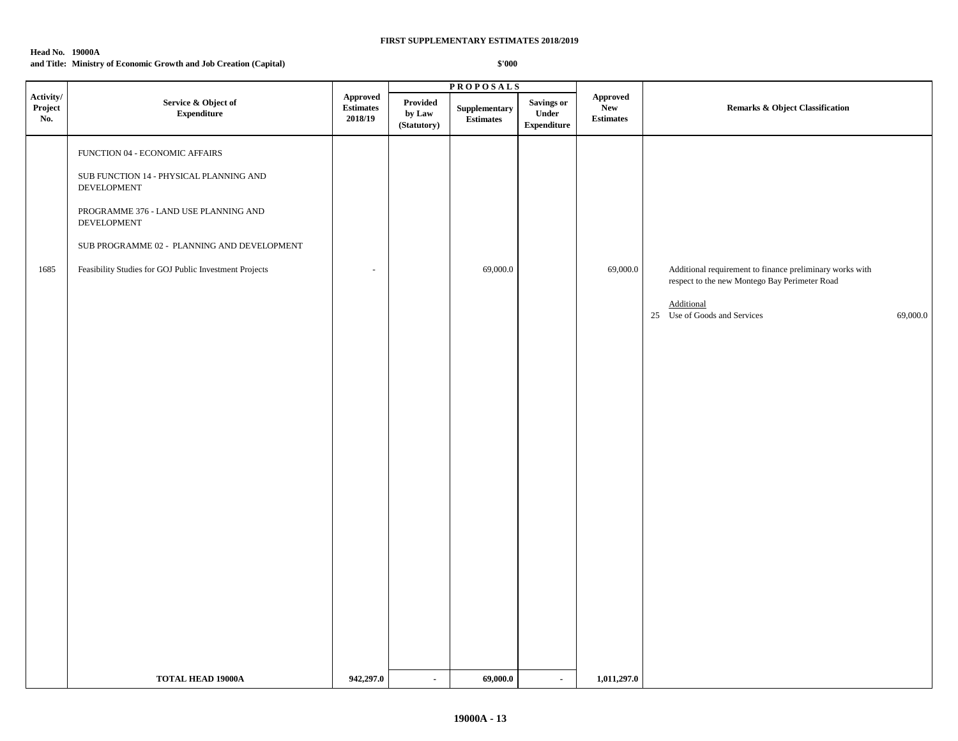#### **Head No. 19000A**

## **and Title: Ministry of Economic Growth and Job Creation (Capital)**

|                             |                                                                                                                                                                                                                                                                  |                                         |                                   | <b>PROPOSALS</b>                  |                                                   |                                            |                                                                                                                                                                     |  |
|-----------------------------|------------------------------------------------------------------------------------------------------------------------------------------------------------------------------------------------------------------------------------------------------------------|-----------------------------------------|-----------------------------------|-----------------------------------|---------------------------------------------------|--------------------------------------------|---------------------------------------------------------------------------------------------------------------------------------------------------------------------|--|
| Activity/<br>Project<br>No. | Service & Object of<br><b>Expenditure</b>                                                                                                                                                                                                                        | Approved<br><b>Estimates</b><br>2018/19 | Provided<br>by Law<br>(Statutory) | Supplementary<br><b>Estimates</b> | <b>Savings or</b><br>Under<br>${\bf Expenditure}$ | Approved<br><b>New</b><br><b>Estimates</b> | Remarks & Object Classification                                                                                                                                     |  |
| 1685                        | FUNCTION 04 - ECONOMIC AFFAIRS<br>SUB FUNCTION 14 - PHYSICAL PLANNING AND<br><b>DEVELOPMENT</b><br>PROGRAMME 376 - LAND USE PLANNING AND<br>DEVELOPMENT<br>SUB PROGRAMME 02 - PLANNING AND DEVELOPMENT<br>Feasibility Studies for GOJ Public Investment Projects | $\sim$                                  |                                   | 69,000.0                          |                                                   | 69,000.0                                   | Additional requirement to finance preliminary works with<br>respect to the new Montego Bay Perimeter Road<br>Additional<br>25 Use of Goods and Services<br>69,000.0 |  |
|                             | <b>TOTAL HEAD 19000A</b>                                                                                                                                                                                                                                         | 942,297.0                               | $\blacksquare$                    | 69,000.0                          | $\sim$                                            | 1,011,297.0                                |                                                                                                                                                                     |  |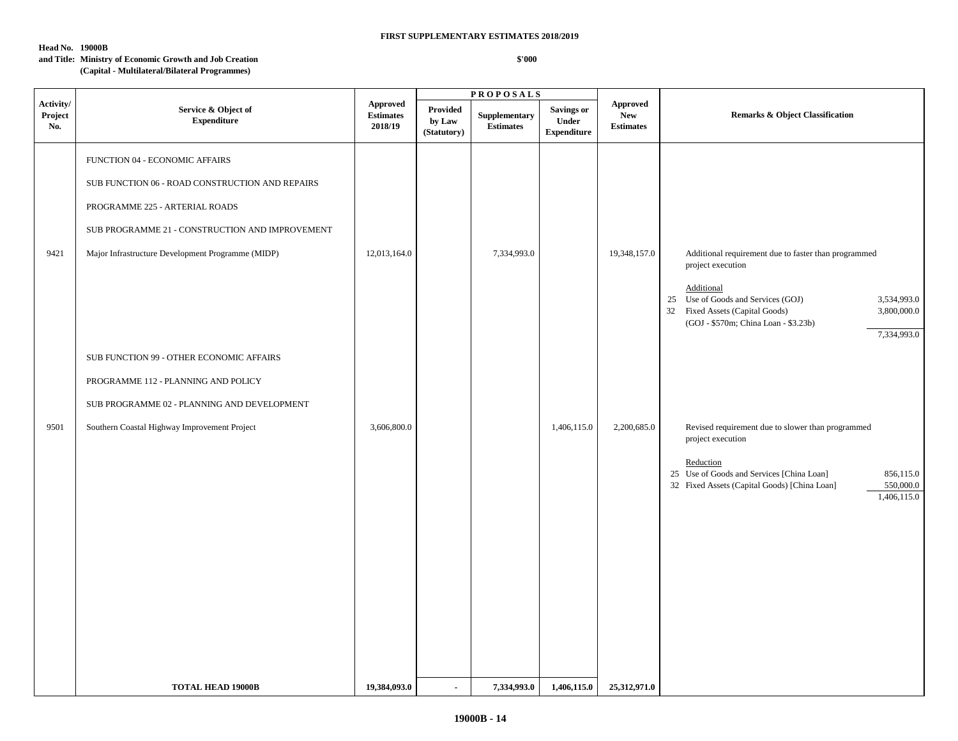## **Head No. 19000B**

## **and Title: Ministry of Economic Growth and Job Creation**

## **(Capital - Multilateral/Bilateral Programmes)**

|                             |                                                                                                                                                                                                                             |                                                |                                   | $\texttt{PROPOSALS}$              |                                           |                                                   |                                                                                                                                                                                                                                                       |  |
|-----------------------------|-----------------------------------------------------------------------------------------------------------------------------------------------------------------------------------------------------------------------------|------------------------------------------------|-----------------------------------|-----------------------------------|-------------------------------------------|---------------------------------------------------|-------------------------------------------------------------------------------------------------------------------------------------------------------------------------------------------------------------------------------------------------------|--|
| Activity/<br>Project<br>No. | Service & Object of<br><b>Expenditure</b>                                                                                                                                                                                   | <b>Approved</b><br><b>Estimates</b><br>2018/19 | Provided<br>by Law<br>(Statutory) | Supplementary<br><b>Estimates</b> | Savings or<br>Under<br><b>Expenditure</b> | <b>Approved</b><br><b>New</b><br><b>Estimates</b> | <b>Remarks &amp; Object Classification</b>                                                                                                                                                                                                            |  |
| 9421                        | FUNCTION 04 - ECONOMIC AFFAIRS<br>SUB FUNCTION 06 - ROAD CONSTRUCTION AND REPAIRS<br>PROGRAMME 225 - ARTERIAL ROADS<br>SUB PROGRAMME 21 - CONSTRUCTION AND IMPROVEMENT<br>Major Infrastructure Development Programme (MIDP) | 12,013,164.0                                   |                                   | 7,334,993.0                       |                                           | 19,348,157.0                                      | Additional requirement due to faster than programmed<br>project execution<br>Additional<br>25 Use of Goods and Services (GOJ)<br>3,534,993.0<br>32 Fixed Assets (Capital Goods)<br>3,800,000.0<br>(GOJ - \$570m; China Loan - \$3.23b)<br>7,334,993.0 |  |
| 9501                        | SUB FUNCTION 99 - OTHER ECONOMIC AFFAIRS<br>PROGRAMME 112 - PLANNING AND POLICY<br>SUB PROGRAMME 02 - PLANNING AND DEVELOPMENT<br>Southern Coastal Highway Improvement Project                                              | 3,606,800.0                                    |                                   |                                   | 1,406,115.0                               | 2,200,685.0                                       | Revised requirement due to slower than programmed<br>project execution<br>Reduction<br>25 Use of Goods and Services [China Loan]<br>856,115.0<br>32 Fixed Assets (Capital Goods) [China Loan]<br>550,000.0<br>1,406,115.0                             |  |
|                             | <b>TOTAL HEAD 19000B</b>                                                                                                                                                                                                    | 19,384,093.0                                   |                                   | 7,334,993.0                       | 1,406,115.0                               | 25,312,971.0                                      |                                                                                                                                                                                                                                                       |  |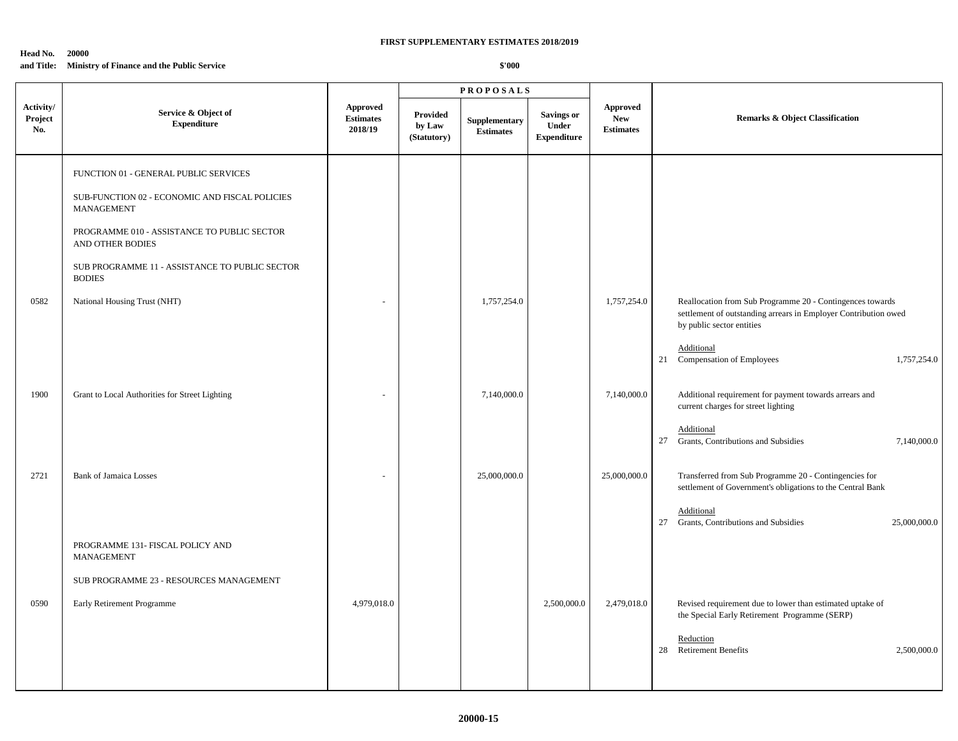### **Head No. 20000 and Title: Ministry of Finance and the Public Service**

|                             |                                                                                                                                                                                                                                             |                                                |                                          | <b>PROPOSALS</b>                  |                                                  |                                            |                                                                                                                                                                                                                           |
|-----------------------------|---------------------------------------------------------------------------------------------------------------------------------------------------------------------------------------------------------------------------------------------|------------------------------------------------|------------------------------------------|-----------------------------------|--------------------------------------------------|--------------------------------------------|---------------------------------------------------------------------------------------------------------------------------------------------------------------------------------------------------------------------------|
| Activity/<br>Project<br>No. | Service & Object of<br><b>Expenditure</b>                                                                                                                                                                                                   | <b>Approved</b><br><b>Estimates</b><br>2018/19 | <b>Provided</b><br>by Law<br>(Statutory) | Supplementary<br><b>Estimates</b> | <b>Savings or</b><br>Under<br><b>Expenditure</b> | Approved<br><b>New</b><br><b>Estimates</b> | <b>Remarks &amp; Object Classification</b>                                                                                                                                                                                |
|                             | FUNCTION 01 - GENERAL PUBLIC SERVICES<br>SUB-FUNCTION 02 - ECONOMIC AND FISCAL POLICIES<br>MANAGEMENT<br>PROGRAMME 010 - ASSISTANCE TO PUBLIC SECTOR<br>AND OTHER BODIES<br>SUB PROGRAMME 11 - ASSISTANCE TO PUBLIC SECTOR<br><b>BODIES</b> |                                                |                                          |                                   |                                                  |                                            |                                                                                                                                                                                                                           |
| 0582                        | National Housing Trust (NHT)                                                                                                                                                                                                                |                                                |                                          | 1,757,254.0                       |                                                  | 1,757,254.0                                | Reallocation from Sub Programme 20 - Contingences towards<br>settlement of outstanding arrears in Employer Contribution owed<br>by public sector entities<br>Additional<br>Compensation of Employees<br>21<br>1,757,254.0 |
| 1900                        | Grant to Local Authorities for Street Lighting                                                                                                                                                                                              |                                                |                                          | 7,140,000.0                       |                                                  | 7,140,000.0                                | Additional requirement for payment towards arrears and<br>current charges for street lighting<br>Additional<br>Grants, Contributions and Subsidies<br>27<br>7,140,000.0                                                   |
| 2721                        | <b>Bank of Jamaica Losses</b><br>PROGRAMME 131- FISCAL POLICY AND<br><b>MANAGEMENT</b>                                                                                                                                                      |                                                |                                          | 25,000,000.0                      |                                                  | 25,000,000.0                               | Transferred from Sub Programme 20 - Contingencies for<br>settlement of Government's obligations to the Central Bank<br>Additional<br>27 Grants, Contributions and Subsidies<br>25,000,000.0                               |
| 0590                        | SUB PROGRAMME 23 - RESOURCES MANAGEMENT<br>Early Retirement Programme                                                                                                                                                                       | 4,979,018.0                                    |                                          |                                   | 2,500,000.0                                      | 2,479,018.0                                | Revised requirement due to lower than estimated uptake of<br>the Special Early Retirement Programme (SERP)<br>Reduction<br>28<br><b>Retirement Benefits</b><br>2,500,000.0                                                |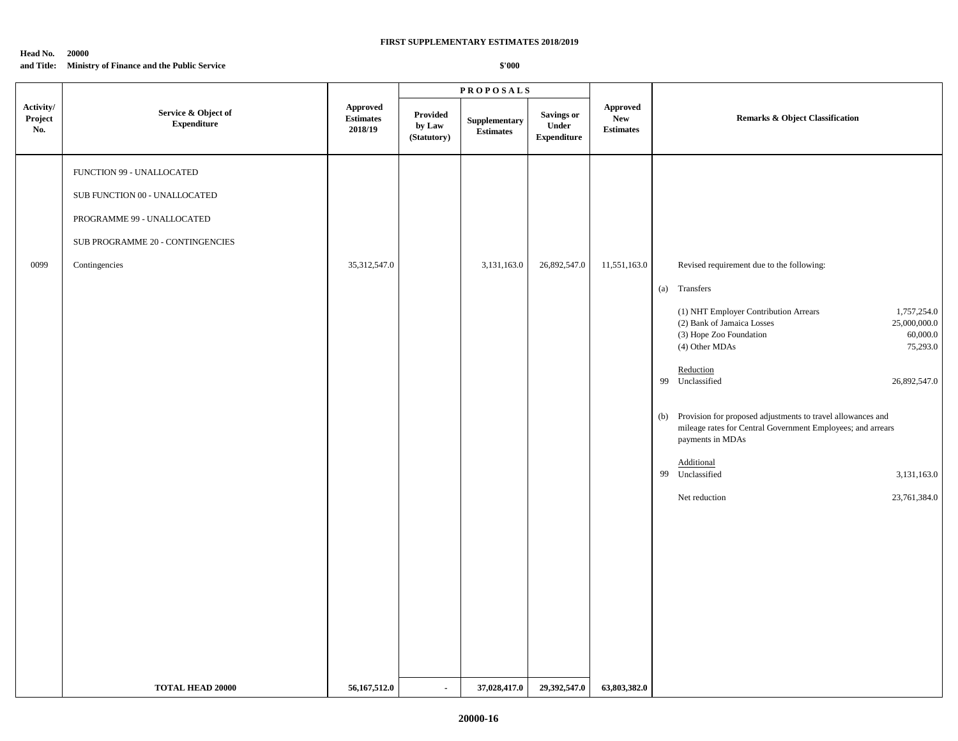#### **Head No. 20000 and Title: Ministry of Finance and the Public Service**

|                             |                                           |                                                | <b>PROPOSALS</b>                         |                                                  |                                                  |                                                          |                                                                                                                                                                         |  |
|-----------------------------|-------------------------------------------|------------------------------------------------|------------------------------------------|--------------------------------------------------|--------------------------------------------------|----------------------------------------------------------|-------------------------------------------------------------------------------------------------------------------------------------------------------------------------|--|
| Activity/<br>Project<br>No. | Service & Object of<br><b>Expenditure</b> | <b>Approved</b><br><b>Estimates</b><br>2018/19 | <b>Provided</b><br>by Law<br>(Statutory) | ${\large \bf Supplementary}$<br><b>Estimates</b> | <b>Savings or</b><br>Under<br><b>Expenditure</b> | ${\Large\bf Approved}$<br><b>New</b><br><b>Estimates</b> | <b>Remarks &amp; Object Classification</b>                                                                                                                              |  |
|                             | FUNCTION 99 - UNALLOCATED                 |                                                |                                          |                                                  |                                                  |                                                          |                                                                                                                                                                         |  |
|                             | SUB FUNCTION 00 - UNALLOCATED             |                                                |                                          |                                                  |                                                  |                                                          |                                                                                                                                                                         |  |
|                             | PROGRAMME 99 - UNALLOCATED                |                                                |                                          |                                                  |                                                  |                                                          |                                                                                                                                                                         |  |
|                             | SUB PROGRAMME 20 - CONTINGENCIES          |                                                |                                          |                                                  |                                                  |                                                          |                                                                                                                                                                         |  |
| 0099                        | Contingencies                             | 35, 312, 547.0                                 |                                          | 3,131,163.0                                      | 26,892,547.0                                     | 11,551,163.0                                             | Revised requirement due to the following:                                                                                                                               |  |
|                             |                                           |                                                |                                          |                                                  |                                                  |                                                          | (a) Transfers                                                                                                                                                           |  |
|                             |                                           |                                                |                                          |                                                  |                                                  |                                                          | (1) NHT Employer Contribution Arrears<br>1,757,254.0<br>(2) Bank of Jamaica Losses<br>25,000,000.0<br>(3) Hope Zoo Foundation<br>60,000.0<br>(4) Other MDAs<br>75,293.0 |  |
|                             |                                           |                                                |                                          |                                                  |                                                  |                                                          | Reduction<br>99 Unclassified<br>26,892,547.0                                                                                                                            |  |
|                             |                                           |                                                |                                          |                                                  |                                                  |                                                          | (b) Provision for proposed adjustments to travel allowances and<br>mileage rates for Central Government Employees; and arrears<br>payments in MDAs                      |  |
|                             |                                           |                                                |                                          |                                                  |                                                  |                                                          | Additional<br>99 Unclassified<br>3,131,163.0                                                                                                                            |  |
|                             |                                           |                                                |                                          |                                                  |                                                  |                                                          | Net reduction<br>23,761,384.0                                                                                                                                           |  |
|                             |                                           |                                                |                                          |                                                  |                                                  |                                                          |                                                                                                                                                                         |  |
|                             |                                           |                                                |                                          |                                                  |                                                  |                                                          |                                                                                                                                                                         |  |
|                             |                                           |                                                |                                          |                                                  |                                                  |                                                          |                                                                                                                                                                         |  |
|                             |                                           |                                                |                                          |                                                  |                                                  |                                                          |                                                                                                                                                                         |  |
|                             |                                           |                                                |                                          |                                                  |                                                  |                                                          |                                                                                                                                                                         |  |
|                             |                                           |                                                |                                          |                                                  |                                                  |                                                          |                                                                                                                                                                         |  |
|                             |                                           |                                                |                                          |                                                  |                                                  |                                                          |                                                                                                                                                                         |  |
|                             | <b>TOTAL HEAD 20000</b>                   | 56,167,512.0                                   | $\sim$                                   | 37,028,417.0                                     | 29,392,547.0                                     | 63,803,382.0                                             |                                                                                                                                                                         |  |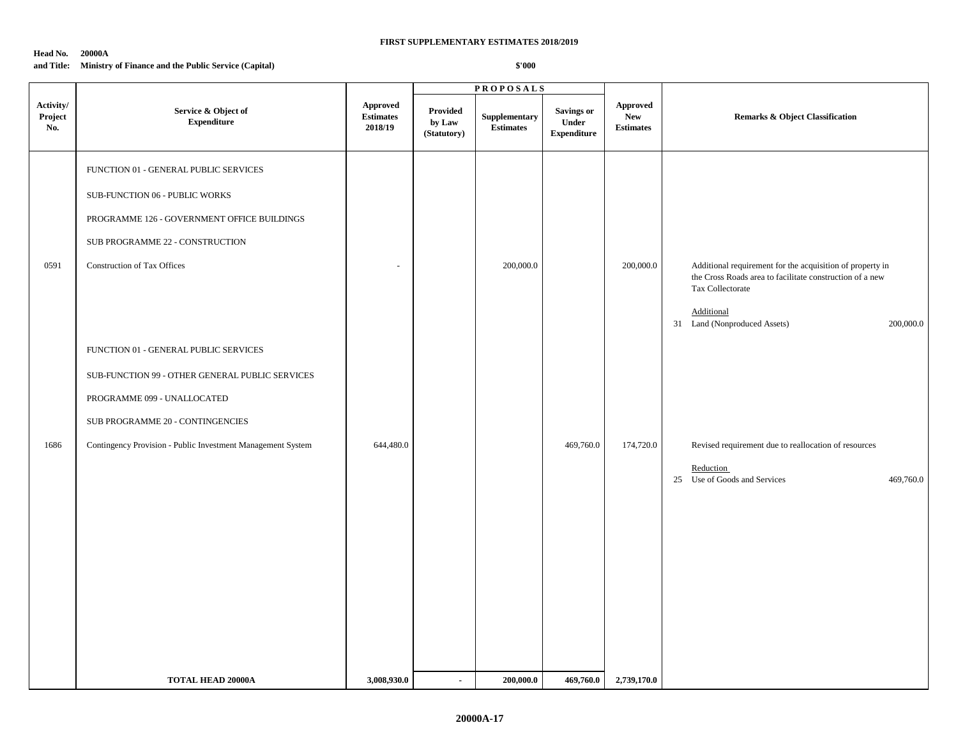## **Head No. 20000A and Title: Ministry of Finance and the Public Service (Capital)**

| Activity/<br>${\bf Project}$<br>No. | Service & Object of<br><b>Expenditure</b><br>FUNCTION 01 - GENERAL PUBLIC SERVICES                                                                          | <b>Approved</b><br><b>Estimates</b><br>2018/19 | <b>Provided</b><br>by Law<br>(Statutory) | Supplementary<br><b>Estimates</b> | <b>Savings or</b><br>Under<br><b>Expenditure</b> | <b>Approved</b><br><b>New</b><br><b>Estimates</b> | <b>Remarks &amp; Object Classification</b>                                                                                                |
|-------------------------------------|-------------------------------------------------------------------------------------------------------------------------------------------------------------|------------------------------------------------|------------------------------------------|-----------------------------------|--------------------------------------------------|---------------------------------------------------|-------------------------------------------------------------------------------------------------------------------------------------------|
|                                     |                                                                                                                                                             |                                                |                                          |                                   |                                                  |                                                   |                                                                                                                                           |
| 0591                                | SUB-FUNCTION 06 - PUBLIC WORKS<br>PROGRAMME 126 - GOVERNMENT OFFICE BUILDINGS<br>SUB PROGRAMME 22 - CONSTRUCTION<br>Construction of Tax Offices             | ÷,                                             |                                          | 200,000.0                         |                                                  | 200,000.0                                         | Additional requirement for the acquisition of property in<br>the Cross Roads area to facilitate construction of a new<br>Tax Collectorate |
|                                     | FUNCTION 01 - GENERAL PUBLIC SERVICES<br>SUB-FUNCTION 99 - OTHER GENERAL PUBLIC SERVICES<br>PROGRAMME 099 - UNALLOCATED<br>SUB PROGRAMME 20 - CONTINGENCIES |                                                |                                          |                                   |                                                  |                                                   | Additional<br>31 Land (Nonproduced Assets)<br>200,000.0                                                                                   |
| 1686                                | Contingency Provision - Public Investment Management System                                                                                                 | 644,480.0                                      |                                          |                                   | 469,760.0                                        | 174,720.0                                         | Revised requirement due to reallocation of resources<br>Reduction<br>25 Use of Goods and Services<br>469,760.0                            |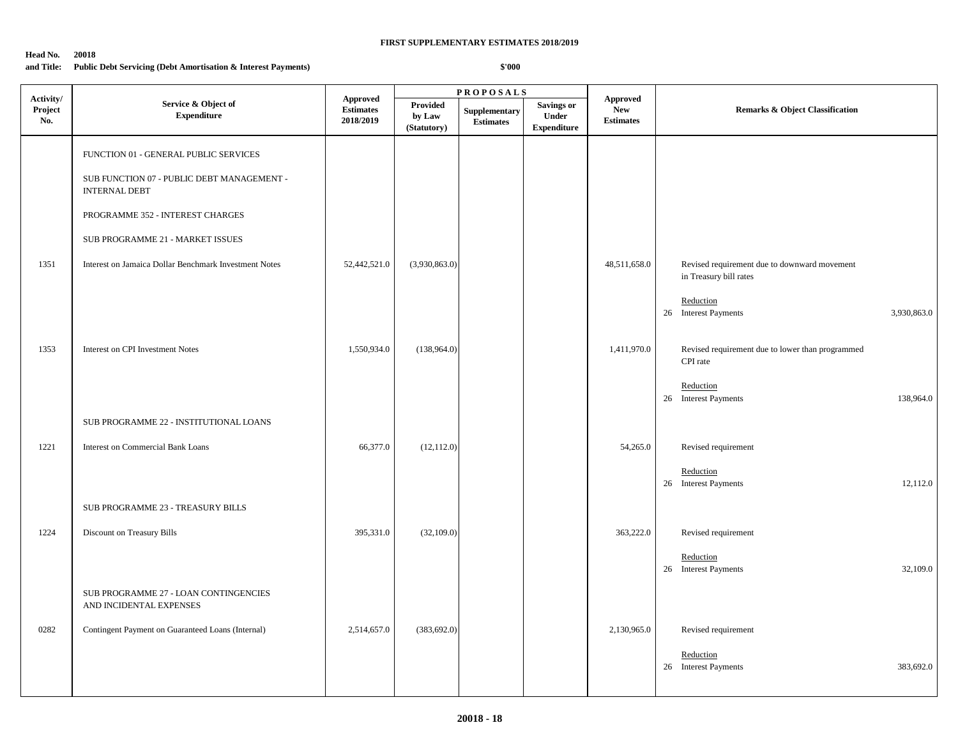#### **Head No. 20018**

## **and Title: Public Debt Servicing (Debt Amortisation & Interest Payments)**

|                             |                                                                    |                                                  |                                          | <b>PROPOSALS</b>                  |                                                         |                                                   |                                                                        |  |
|-----------------------------|--------------------------------------------------------------------|--------------------------------------------------|------------------------------------------|-----------------------------------|---------------------------------------------------------|---------------------------------------------------|------------------------------------------------------------------------|--|
| Activity/<br>Project<br>No. | Service & Object of<br><b>Expenditure</b>                          | <b>Approved</b><br><b>Estimates</b><br>2018/2019 | <b>Provided</b><br>by Law<br>(Statutory) | Supplementary<br><b>Estimates</b> | <b>Savings or</b><br><b>Under</b><br><b>Expenditure</b> | <b>Approved</b><br><b>New</b><br><b>Estimates</b> | Remarks & Object Classification                                        |  |
|                             | FUNCTION 01 - GENERAL PUBLIC SERVICES                              |                                                  |                                          |                                   |                                                         |                                                   |                                                                        |  |
|                             | SUB FUNCTION 07 - PUBLIC DEBT MANAGEMENT -<br><b>INTERNAL DEBT</b> |                                                  |                                          |                                   |                                                         |                                                   |                                                                        |  |
|                             | PROGRAMME 352 - INTEREST CHARGES                                   |                                                  |                                          |                                   |                                                         |                                                   |                                                                        |  |
|                             | SUB PROGRAMME 21 - MARKET ISSUES                                   |                                                  |                                          |                                   |                                                         |                                                   |                                                                        |  |
| 1351                        | Interest on Jamaica Dollar Benchmark Investment Notes              | 52,442,521.0                                     | (3,930,863.0)                            |                                   |                                                         | 48,511,658.0                                      | Revised requirement due to downward movement<br>in Treasury bill rates |  |
|                             |                                                                    |                                                  |                                          |                                   |                                                         |                                                   | Reduction<br>26 Interest Payments<br>3,930,863.0                       |  |
| 1353                        | Interest on CPI Investment Notes                                   | 1,550,934.0                                      | (138,964.0)                              |                                   |                                                         | 1,411,970.0                                       | Revised requirement due to lower than programmed<br>CPI rate           |  |
|                             |                                                                    |                                                  |                                          |                                   |                                                         |                                                   | Reduction<br>26 Interest Payments<br>138,964.0                         |  |
|                             | SUB PROGRAMME 22 - INSTITUTIONAL LOANS                             |                                                  |                                          |                                   |                                                         |                                                   |                                                                        |  |
| 1221                        | Interest on Commercial Bank Loans                                  | 66,377.0                                         | (12, 112.0)                              |                                   |                                                         | 54,265.0                                          | Revised requirement                                                    |  |
|                             |                                                                    |                                                  |                                          |                                   |                                                         |                                                   | Reduction<br>26 Interest Payments<br>12,112.0                          |  |
|                             | SUB PROGRAMME 23 - TREASURY BILLS                                  |                                                  |                                          |                                   |                                                         |                                                   |                                                                        |  |
| 1224                        | <b>Discount on Treasury Bills</b>                                  | 395,331.0                                        | (32,109.0)                               |                                   |                                                         | 363,222.0                                         | Revised requirement                                                    |  |
|                             |                                                                    |                                                  |                                          |                                   |                                                         |                                                   | Reduction<br>26 Interest Payments<br>32,109.0                          |  |
|                             | SUB PROGRAMME 27 - LOAN CONTINGENCIES<br>AND INCIDENTAL EXPENSES   |                                                  |                                          |                                   |                                                         |                                                   |                                                                        |  |
| 0282                        | Contingent Payment on Guaranteed Loans (Internal)                  | 2,514,657.0                                      | (383, 692.0)                             |                                   |                                                         | 2,130,965.0                                       | Revised requirement                                                    |  |
|                             |                                                                    |                                                  |                                          |                                   |                                                         |                                                   | Reduction<br>26 Interest Payments<br>383,692.0                         |  |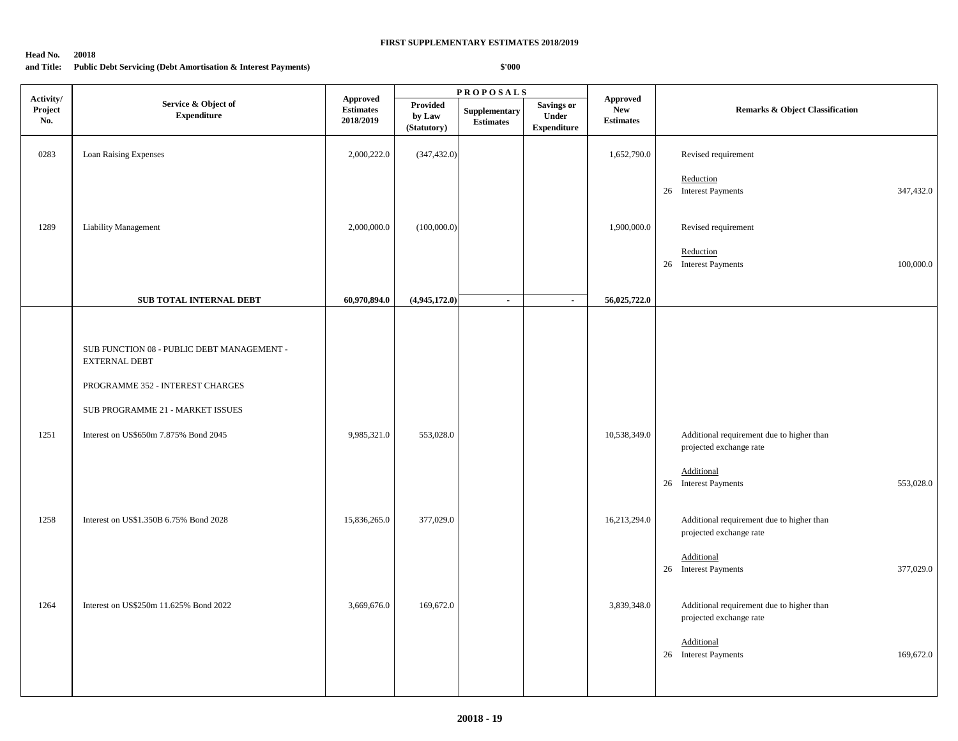#### **Head No. 20018**

## **and Title: Public Debt Servicing (Debt Amortisation & Interest Payments)**

| Activity/      |                                                                              |                                                  |                                          | $\textbf{P} \, \textbf{R} \, \textbf{O} \, \textbf{P} \, \textbf{O} \, \textbf{S} \, \textbf{A} \, \textbf{L} \, \textbf{S}$ |                                                  |                                                   |                                                                      |  |
|----------------|------------------------------------------------------------------------------|--------------------------------------------------|------------------------------------------|------------------------------------------------------------------------------------------------------------------------------|--------------------------------------------------|---------------------------------------------------|----------------------------------------------------------------------|--|
| Project<br>No. | Service & Object of<br>${\bf Expenditure}$                                   | <b>Approved</b><br><b>Estimates</b><br>2018/2019 | <b>Provided</b><br>by Law<br>(Statutory) | Supplementary<br><b>Estimates</b>                                                                                            | <b>Savings or</b><br>Under<br><b>Expenditure</b> | <b>Approved</b><br><b>New</b><br><b>Estimates</b> | Remarks & Object Classification                                      |  |
| 0283           | Loan Raising Expenses                                                        | 2,000,222.0                                      | (347, 432.0)                             |                                                                                                                              |                                                  | 1,652,790.0                                       | Revised requirement                                                  |  |
|                |                                                                              |                                                  |                                          |                                                                                                                              |                                                  |                                                   | Reduction<br>26 Interest Payments<br>347,432.0                       |  |
| 1289           | <b>Liability Management</b>                                                  | 2,000,000.0                                      | (100,000.0)                              |                                                                                                                              |                                                  | 1,900,000.0                                       | Revised requirement                                                  |  |
|                |                                                                              |                                                  |                                          |                                                                                                                              |                                                  |                                                   | Reduction<br>26 Interest Payments<br>100,000.0                       |  |
|                | SUB TOTAL INTERNAL DEBT                                                      | 60,970,894.0                                     | (4,945,172.0)                            | $\sim$                                                                                                                       | $\sim$                                           | 56,025,722.0                                      |                                                                      |  |
|                |                                                                              |                                                  |                                          |                                                                                                                              |                                                  |                                                   |                                                                      |  |
|                | ${\rm SUB}$ FUNCTION $08$ - PUBLIC DEBT MANAGEMENT -<br><b>EXTERNAL DEBT</b> |                                                  |                                          |                                                                                                                              |                                                  |                                                   |                                                                      |  |
|                | PROGRAMME 352 - INTEREST CHARGES                                             |                                                  |                                          |                                                                                                                              |                                                  |                                                   |                                                                      |  |
|                | SUB PROGRAMME 21 - MARKET ISSUES                                             |                                                  |                                          |                                                                                                                              |                                                  |                                                   |                                                                      |  |
| 1251           | Interest on US\$650m 7.875% Bond 2045                                        | 9,985,321.0                                      | 553,028.0                                |                                                                                                                              |                                                  | 10,538,349.0                                      | Additional requirement due to higher than<br>projected exchange rate |  |
|                |                                                                              |                                                  |                                          |                                                                                                                              |                                                  |                                                   | <b>Additional</b><br>26 Interest Payments<br>553,028.0               |  |
| 1258           | Interest on US\$1.350B 6.75% Bond 2028                                       | 15,836,265.0                                     | 377,029.0                                |                                                                                                                              |                                                  | 16,213,294.0                                      | Additional requirement due to higher than<br>projected exchange rate |  |
|                |                                                                              |                                                  |                                          |                                                                                                                              |                                                  |                                                   | Additional<br>26 Interest Payments<br>377,029.0                      |  |
| 1264           | Interest on US\$250m 11.625% Bond 2022                                       | 3,669,676.0                                      | 169,672.0                                |                                                                                                                              |                                                  | 3,839,348.0                                       | Additional requirement due to higher than<br>projected exchange rate |  |
|                |                                                                              |                                                  |                                          |                                                                                                                              |                                                  |                                                   | Additional<br>26 Interest Payments<br>169,672.0                      |  |
|                |                                                                              |                                                  |                                          |                                                                                                                              |                                                  |                                                   |                                                                      |  |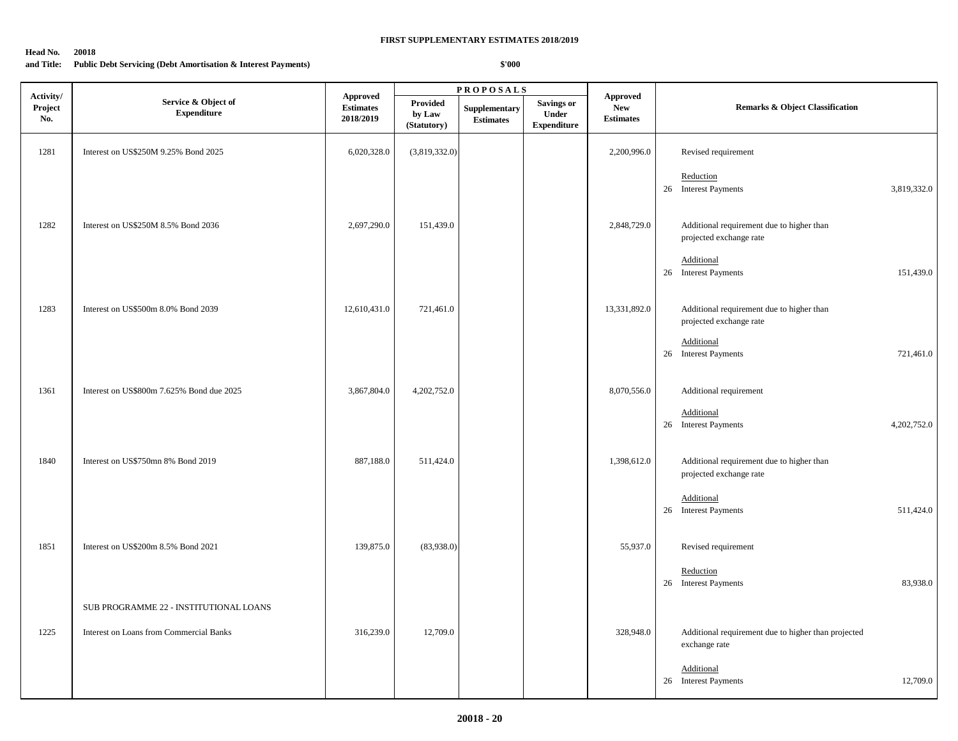#### **Head No. 20018**

## **and Title: Public Debt Servicing (Debt Amortisation & Interest Payments)**

|                             |                                           |                                                  |                                   | <b>PROPOSALS</b>                  |                                                  |                                                   |                                                                      |  |
|-----------------------------|-------------------------------------------|--------------------------------------------------|-----------------------------------|-----------------------------------|--------------------------------------------------|---------------------------------------------------|----------------------------------------------------------------------|--|
| Activity/<br>Project<br>No. | Service & Object of<br><b>Expenditure</b> | <b>Approved</b><br><b>Estimates</b><br>2018/2019 | Provided<br>by Law<br>(Statutory) | Supplementary<br><b>Estimates</b> | <b>Savings or</b><br>Under<br><b>Expenditure</b> | <b>Approved</b><br><b>New</b><br><b>Estimates</b> | <b>Remarks &amp; Object Classification</b>                           |  |
| 1281                        | Interest on US\$250M 9.25% Bond 2025      | 6,020,328.0                                      | (3,819,332.0)                     |                                   |                                                  | 2,200,996.0                                       | Revised requirement                                                  |  |
|                             |                                           |                                                  |                                   |                                   |                                                  |                                                   | Reduction<br>26 Interest Payments<br>3,819,332.0                     |  |
| 1282                        | Interest on US\$250M 8.5% Bond 2036       | 2,697,290.0                                      | 151,439.0                         |                                   |                                                  | 2,848,729.0                                       | Additional requirement due to higher than<br>projected exchange rate |  |
|                             |                                           |                                                  |                                   |                                   |                                                  |                                                   | Additional<br>26 Interest Payments<br>151,439.0                      |  |
| 1283                        | Interest on US\$500m 8.0% Bond 2039       | 12,610,431.0                                     | 721,461.0                         |                                   |                                                  | 13,331,892.0                                      | Additional requirement due to higher than<br>projected exchange rate |  |
|                             |                                           |                                                  |                                   |                                   |                                                  |                                                   | Additional<br>26 Interest Payments<br>721,461.0                      |  |
| 1361                        | Interest on US\$800m 7.625% Bond due 2025 | 3,867,804.0                                      | 4,202,752.0                       |                                   |                                                  | 8,070,556.0                                       | Additional requirement                                               |  |
|                             |                                           |                                                  |                                   |                                   |                                                  |                                                   | Additional<br>26 Interest Payments<br>4,202,752.0                    |  |
| 1840                        | Interest on US\$750mn 8% Bond 2019        | 887,188.0                                        | 511,424.0                         |                                   |                                                  | 1,398,612.0                                       | Additional requirement due to higher than<br>projected exchange rate |  |
|                             |                                           |                                                  |                                   |                                   |                                                  |                                                   | Additional<br>26 Interest Payments<br>511,424.0                      |  |
| 1851                        | Interest on US\$200m 8.5% Bond 2021       | 139,875.0                                        | (83,938.0)                        |                                   |                                                  | 55,937.0                                          | Revised requirement                                                  |  |
|                             |                                           |                                                  |                                   |                                   |                                                  |                                                   | Reduction<br>26 Interest Payments<br>83,938.0                        |  |
|                             | SUB PROGRAMME 22 - INSTITUTIONAL LOANS    |                                                  |                                   |                                   |                                                  |                                                   |                                                                      |  |
| 1225                        | Interest on Loans from Commercial Banks   | 316,239.0                                        | 12,709.0                          |                                   |                                                  | 328,948.0                                         | Additional requirement due to higher than projected<br>exchange rate |  |
|                             |                                           |                                                  |                                   |                                   |                                                  |                                                   | Additional<br>26 Interest Payments<br>12,709.0                       |  |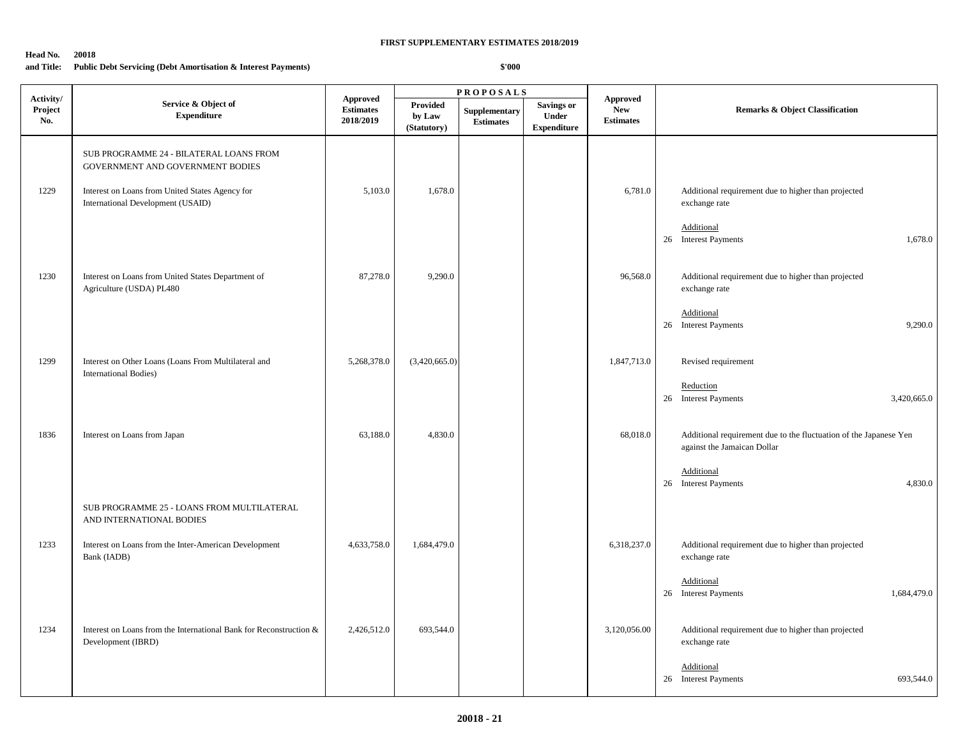#### **Head No. 20018**

## **and Title: Public Debt Servicing (Debt Amortisation & Interest Payments)**

| Activity/      |                                                                                          |                                                  | <b>PROPOSALS</b>                         |                                   |                                           |                                                   |                                                                                                  |
|----------------|------------------------------------------------------------------------------------------|--------------------------------------------------|------------------------------------------|-----------------------------------|-------------------------------------------|---------------------------------------------------|--------------------------------------------------------------------------------------------------|
| Project<br>No. | Service & Object of<br><b>Expenditure</b>                                                | <b>Approved</b><br><b>Estimates</b><br>2018/2019 | <b>Provided</b><br>by Law<br>(Statutory) | Supplementary<br><b>Estimates</b> | Savings or<br>Under<br><b>Expenditure</b> | <b>Approved</b><br><b>New</b><br><b>Estimates</b> | <b>Remarks &amp; Object Classification</b>                                                       |
|                | SUB PROGRAMME 24 - BILATERAL LOANS FROM<br>GOVERNMENT AND GOVERNMENT BODIES              |                                                  |                                          |                                   |                                           |                                                   |                                                                                                  |
| 1229           | Interest on Loans from United States Agency for<br>International Development (USAID)     | 5,103.0                                          | 1,678.0                                  |                                   |                                           | 6,781.0                                           | Additional requirement due to higher than projected<br>exchange rate                             |
|                |                                                                                          |                                                  |                                          |                                   |                                           |                                                   | Additional<br>26 Interest Payments<br>1,678.0                                                    |
| 1230           | Interest on Loans from United States Department of<br>Agriculture (USDA) PL480           | 87,278.0                                         | 9,290.0                                  |                                   |                                           | 96,568.0                                          | Additional requirement due to higher than projected<br>exchange rate                             |
|                |                                                                                          |                                                  |                                          |                                   |                                           |                                                   | Additional<br>26 Interest Payments<br>9,290.0                                                    |
| 1299           | Interest on Other Loans (Loans From Multilateral and<br>International Bodies)            | 5,268,378.0                                      | (3,420,665.0)                            |                                   |                                           | 1,847,713.0                                       | Revised requirement                                                                              |
|                |                                                                                          |                                                  |                                          |                                   |                                           |                                                   | Reduction<br>26 Interest Payments<br>3,420,665.0                                                 |
| 1836           | Interest on Loans from Japan                                                             | 63,188.0                                         | 4,830.0                                  |                                   |                                           | 68,018.0                                          | Additional requirement due to the fluctuation of the Japanese Yen<br>against the Jamaican Dollar |
|                |                                                                                          |                                                  |                                          |                                   |                                           |                                                   | Additional<br>26 Interest Payments<br>4,830.0                                                    |
|                | SUB PROGRAMME 25 - LOANS FROM MULTILATERAL<br>AND INTERNATIONAL BODIES                   |                                                  |                                          |                                   |                                           |                                                   |                                                                                                  |
| 1233           | Interest on Loans from the Inter-American Development<br>Bank (IADB)                     | 4,633,758.0                                      | 1,684,479.0                              |                                   |                                           | 6,318,237.0                                       | Additional requirement due to higher than projected<br>exchange rate                             |
|                |                                                                                          |                                                  |                                          |                                   |                                           |                                                   | Additional<br>26 Interest Payments<br>1,684,479.0                                                |
| 1234           | Interest on Loans from the International Bank for Reconstruction &<br>Development (IBRD) | 2,426,512.0                                      | 693,544.0                                |                                   |                                           | 3,120,056.00                                      | Additional requirement due to higher than projected<br>exchange rate                             |
|                |                                                                                          |                                                  |                                          |                                   |                                           |                                                   | Additional<br>26 Interest Payments<br>693.544.0                                                  |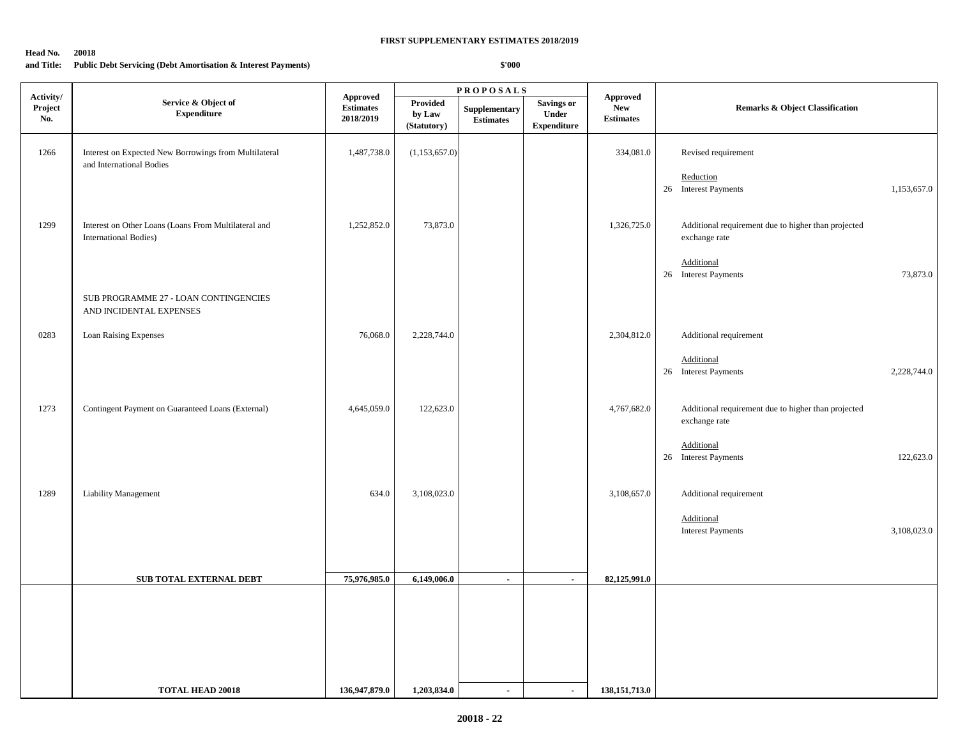#### **Head No. 20018**

## **and Title: Public Debt Servicing (Debt Amortisation & Interest Payments)**

| Activity/      |                                                                                       |                                                  |                                   | <b>PROPOSALS</b>                  |                                                  |                                                   |                                                                      |  |
|----------------|---------------------------------------------------------------------------------------|--------------------------------------------------|-----------------------------------|-----------------------------------|--------------------------------------------------|---------------------------------------------------|----------------------------------------------------------------------|--|
| Project<br>No. | Service & Object of<br><b>Expenditure</b>                                             | <b>Approved</b><br><b>Estimates</b><br>2018/2019 | Provided<br>by Law<br>(Statutory) | Supplementary<br><b>Estimates</b> | <b>Savings or</b><br>Under<br><b>Expenditure</b> | <b>Approved</b><br><b>New</b><br><b>Estimates</b> | Remarks & Object Classification                                      |  |
| 1266           | Interest on Expected New Borrowings from Multilateral<br>and International Bodies     | 1,487,738.0                                      | (1,153,657.0)                     |                                   |                                                  | 334,081.0                                         | Revised requirement                                                  |  |
|                |                                                                                       |                                                  |                                   |                                   |                                                  |                                                   | Reduction<br>26 Interest Payments<br>1,153,657.0                     |  |
| 1299           | Interest on Other Loans (Loans From Multilateral and<br><b>International Bodies</b> ) | 1,252,852.0                                      | 73,873.0                          |                                   |                                                  | 1,326,725.0                                       | Additional requirement due to higher than projected<br>exchange rate |  |
|                |                                                                                       |                                                  |                                   |                                   |                                                  |                                                   | Additional<br>26 Interest Payments<br>73,873.0                       |  |
|                | SUB PROGRAMME 27 - LOAN CONTINGENCIES<br>AND INCIDENTAL EXPENSES                      |                                                  |                                   |                                   |                                                  |                                                   |                                                                      |  |
| 0283           | Loan Raising Expenses                                                                 | 76,068.0                                         | 2,228,744.0                       |                                   |                                                  | 2,304,812.0                                       | Additional requirement                                               |  |
|                |                                                                                       |                                                  |                                   |                                   |                                                  |                                                   | Additional<br>26 Interest Payments<br>2,228,744.0                    |  |
| 1273           | Contingent Payment on Guaranteed Loans (External)                                     | 4,645,059.0                                      | 122,623.0                         |                                   |                                                  | 4,767,682.0                                       | Additional requirement due to higher than projected<br>exchange rate |  |
|                |                                                                                       |                                                  |                                   |                                   |                                                  |                                                   | Additional<br>26 Interest Payments<br>122,623.0                      |  |
| 1289           | Liability Management                                                                  | 634.0                                            | 3,108,023.0                       |                                   |                                                  | 3,108,657.0                                       | Additional requirement                                               |  |
|                |                                                                                       |                                                  |                                   |                                   |                                                  |                                                   | Additional<br>3,108,023.0<br><b>Interest Payments</b>                |  |
|                |                                                                                       |                                                  |                                   |                                   |                                                  |                                                   |                                                                      |  |
|                | SUB TOTAL EXTERNAL DEBT                                                               | 75,976,985.0                                     | 6,149,006.0                       | $\sim$                            | $\sim$                                           | 82,125,991.0                                      |                                                                      |  |
|                |                                                                                       |                                                  |                                   |                                   |                                                  |                                                   |                                                                      |  |
|                |                                                                                       |                                                  |                                   |                                   |                                                  |                                                   |                                                                      |  |
|                |                                                                                       |                                                  |                                   |                                   |                                                  |                                                   |                                                                      |  |
|                |                                                                                       |                                                  |                                   |                                   |                                                  |                                                   |                                                                      |  |
|                | <b>TOTAL HEAD 20018</b>                                                               | 136,947,879.0                                    | 1,203,834.0                       | $\sim$                            | $\blacksquare$                                   | 138, 151, 713.0                                   |                                                                      |  |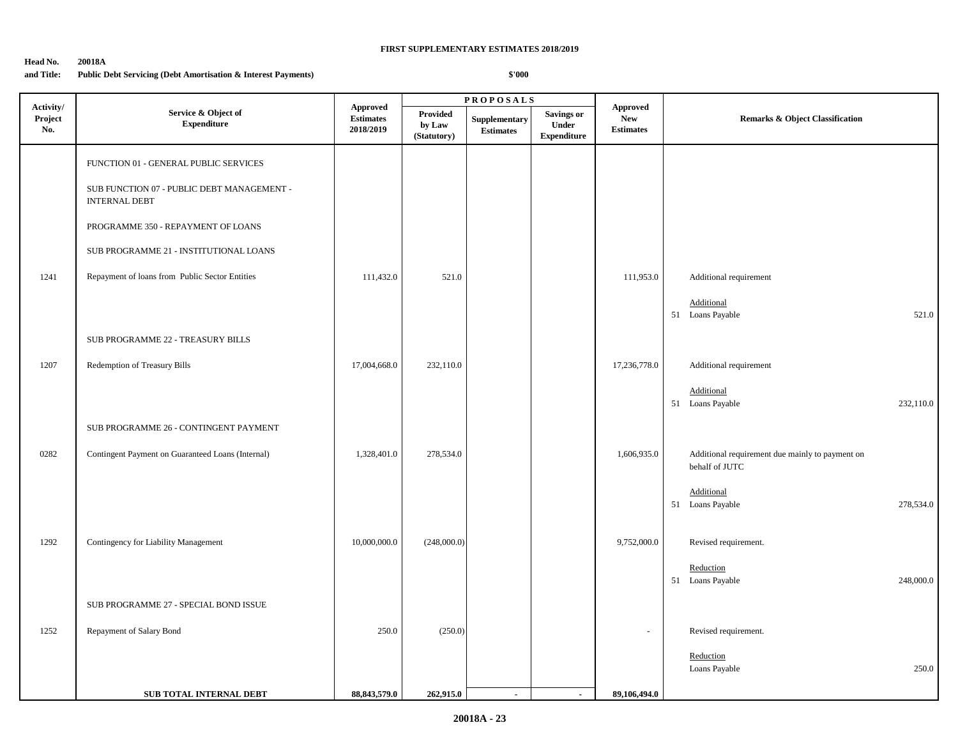## **Head No. 20018A and Title: Public Debt Servicing (Debt Amortisation & Interest Payments)**

|                             |                                                                    |                                                  |                                   | <b>PROPOSALS</b>                                                                |                                                  |                                                   |                                                                   |
|-----------------------------|--------------------------------------------------------------------|--------------------------------------------------|-----------------------------------|---------------------------------------------------------------------------------|--------------------------------------------------|---------------------------------------------------|-------------------------------------------------------------------|
| Activity/<br>Project<br>No. | Service & Object of<br><b>Expenditure</b>                          | <b>Approved</b><br><b>Estimates</b><br>2018/2019 | Provided<br>by Law<br>(Statutory) | Supplementary<br>$\label{1.1} \begin{array}{ll} \textbf{Estimates} \end{array}$ | <b>Savings or</b><br>Under<br><b>Expenditure</b> | <b>Approved</b><br><b>New</b><br><b>Estimates</b> | <b>Remarks &amp; Object Classification</b>                        |
|                             | FUNCTION 01 - GENERAL PUBLIC SERVICES                              |                                                  |                                   |                                                                                 |                                                  |                                                   |                                                                   |
|                             | SUB FUNCTION 07 - PUBLIC DEBT MANAGEMENT -<br><b>INTERNAL DEBT</b> |                                                  |                                   |                                                                                 |                                                  |                                                   |                                                                   |
|                             | PROGRAMME 350 - REPAYMENT OF LOANS                                 |                                                  |                                   |                                                                                 |                                                  |                                                   |                                                                   |
|                             | SUB PROGRAMME 21 - INSTITUTIONAL LOANS                             |                                                  |                                   |                                                                                 |                                                  |                                                   |                                                                   |
| 1241                        | Repayment of loans from Public Sector Entities                     | 111,432.0                                        | 521.0                             |                                                                                 |                                                  | 111,953.0                                         | Additional requirement                                            |
|                             |                                                                    |                                                  |                                   |                                                                                 |                                                  |                                                   | Additional<br>521.0<br>51 Loans Payable                           |
|                             | SUB PROGRAMME 22 - TREASURY BILLS                                  |                                                  |                                   |                                                                                 |                                                  |                                                   |                                                                   |
| 1207                        | Redemption of Treasury Bills                                       | 17,004,668.0                                     | 232,110.0                         |                                                                                 |                                                  | 17,236,778.0                                      | Additional requirement                                            |
|                             |                                                                    |                                                  |                                   |                                                                                 |                                                  |                                                   | Additional<br>51 Loans Payable<br>232,110.0                       |
|                             | SUB PROGRAMME 26 - CONTINGENT PAYMENT                              |                                                  |                                   |                                                                                 |                                                  |                                                   |                                                                   |
| 0282                        | Contingent Payment on Guaranteed Loans (Internal)                  | 1,328,401.0                                      | 278,534.0                         |                                                                                 |                                                  | 1,606,935.0                                       | Additional requirement due mainly to payment on<br>behalf of JUTC |
|                             |                                                                    |                                                  |                                   |                                                                                 |                                                  |                                                   | Additional<br>51 Loans Payable<br>278,534.0                       |
| 1292                        | Contingency for Liability Management                               | 10,000,000.0                                     | (248,000.0)                       |                                                                                 |                                                  | 9,752,000.0                                       | Revised requirement.                                              |
|                             |                                                                    |                                                  |                                   |                                                                                 |                                                  |                                                   | Reduction<br>248,000.0<br>51 Loans Payable                        |
|                             | SUB PROGRAMME 27 - SPECIAL BOND ISSUE                              |                                                  |                                   |                                                                                 |                                                  |                                                   |                                                                   |
| 1252                        | Repayment of Salary Bond                                           | 250.0                                            | (250.0)                           |                                                                                 |                                                  | $\sim$                                            | Revised requirement.                                              |
|                             |                                                                    |                                                  |                                   |                                                                                 |                                                  |                                                   | Reduction<br>Loans Payable<br>250.0                               |
|                             | SUB TOTAL INTERNAL DEBT                                            | 88, 843, 579.0                                   | 262,915.0                         | $\sim$                                                                          | $\overline{\phantom{a}}$                         | 89,106,494.0                                      |                                                                   |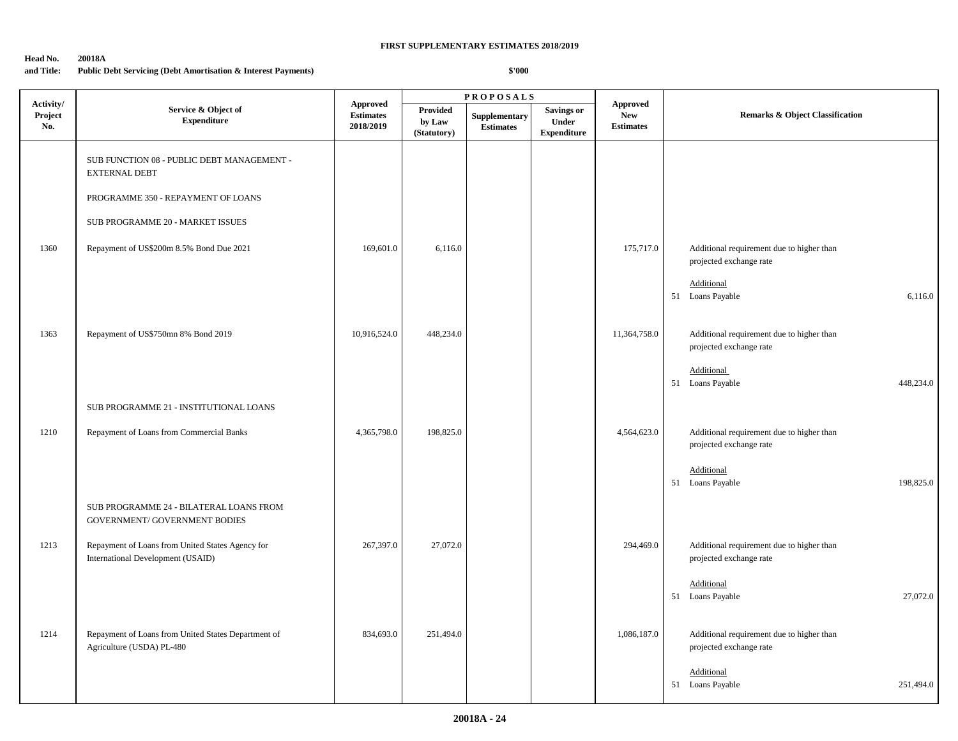## **Head No. 20018A**

## **and Title: Public Debt Servicing (Debt Amortisation & Interest Payments)**

|                             |                                                                                       |                                           | <b>PROPOSALS</b>                  |                                   |                                           |                                                   |                                                                                    |
|-----------------------------|---------------------------------------------------------------------------------------|-------------------------------------------|-----------------------------------|-----------------------------------|-------------------------------------------|---------------------------------------------------|------------------------------------------------------------------------------------|
| Activity/<br>Project<br>No. | Service & Object of<br><b>Expenditure</b>                                             | Approved<br><b>Estimates</b><br>2018/2019 | Provided<br>by Law<br>(Statutory) | Supplementary<br><b>Estimates</b> | Savings or<br>Under<br><b>Expenditure</b> | <b>Approved</b><br><b>New</b><br><b>Estimates</b> | <b>Remarks &amp; Object Classification</b>                                         |
|                             | SUB FUNCTION 08 - PUBLIC DEBT MANAGEMENT -<br><b>EXTERNAL DEBT</b>                    |                                           |                                   |                                   |                                           |                                                   |                                                                                    |
|                             | PROGRAMME 350 - REPAYMENT OF LOANS                                                    |                                           |                                   |                                   |                                           |                                                   |                                                                                    |
|                             | SUB PROGRAMME 20 - MARKET ISSUES                                                      |                                           |                                   |                                   |                                           |                                                   |                                                                                    |
| 1360                        | Repayment of US\$200m 8.5% Bond Due 2021                                              | 169,601.0                                 | 6,116.0                           |                                   |                                           | 175,717.0                                         | Additional requirement due to higher than<br>projected exchange rate               |
|                             |                                                                                       |                                           |                                   |                                   |                                           |                                                   | Additional<br>51 Loans Payable<br>6,116.0                                          |
| 1363                        | Repayment of US\$750mn 8% Bond 2019                                                   | 10,916,524.0                              | 448,234.0                         |                                   |                                           | 11,364,758.0                                      | Additional requirement due to higher than<br>projected exchange rate               |
|                             |                                                                                       |                                           |                                   |                                   |                                           |                                                   | Additional<br>51 Loans Payable<br>448,234.0                                        |
|                             | SUB PROGRAMME 21 - INSTITUTIONAL LOANS                                                |                                           |                                   |                                   |                                           |                                                   |                                                                                    |
| 1210                        | Repayment of Loans from Commercial Banks                                              | 4,365,798.0                               | 198,825.0                         |                                   |                                           | 4,564,623.0                                       | Additional requirement due to higher than<br>projected exchange rate<br>Additional |
|                             |                                                                                       |                                           |                                   |                                   |                                           |                                                   | 51 Loans Payable<br>198,825.0                                                      |
|                             | SUB PROGRAMME 24 - BILATERAL LOANS FROM<br>GOVERNMENT/ GOVERNMENT BODIES              |                                           |                                   |                                   |                                           |                                                   |                                                                                    |
| 1213                        | Repayment of Loans from United States Agency for<br>International Development (USAID) | 267,397.0                                 | 27,072.0                          |                                   |                                           | 294,469.0                                         | Additional requirement due to higher than<br>projected exchange rate               |
|                             |                                                                                       |                                           |                                   |                                   |                                           |                                                   | Additional<br>51 Loans Payable<br>27,072.0                                         |
| 1214                        | Repayment of Loans from United States Department of<br>Agriculture (USDA) PL-480      | 834,693.0                                 | 251,494.0                         |                                   |                                           | 1,086,187.0                                       | Additional requirement due to higher than<br>projected exchange rate               |
|                             |                                                                                       |                                           |                                   |                                   |                                           |                                                   | Additional<br>51 Loans Payable<br>251,494.0                                        |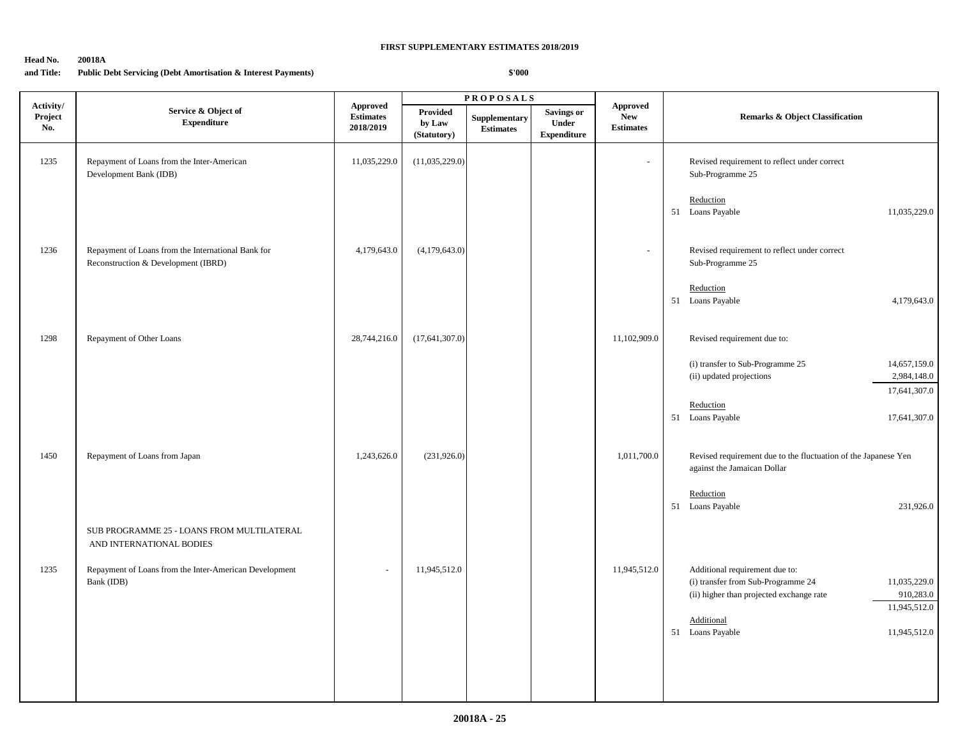#### **Head No. 20018A**

## **and Title: Public Debt Servicing (Debt Amortisation & Interest Payments)**

|                             |                                                                                           |                                                  |                                          | <b>PROPOSALS</b>                                                                |                                           |                                            |                                                                                                                                                               |  |
|-----------------------------|-------------------------------------------------------------------------------------------|--------------------------------------------------|------------------------------------------|---------------------------------------------------------------------------------|-------------------------------------------|--------------------------------------------|---------------------------------------------------------------------------------------------------------------------------------------------------------------|--|
| Activity/<br>Project<br>No. | Service & Object of<br><b>Expenditure</b>                                                 | <b>Approved</b><br><b>Estimates</b><br>2018/2019 | <b>Provided</b><br>by Law<br>(Statutory) | Supplementary<br>$\label{1.1} \begin{array}{ll} \textbf{Estimates} \end{array}$ | Savings or<br>Under<br><b>Expenditure</b> | Approved<br><b>New</b><br><b>Estimates</b> | <b>Remarks &amp; Object Classification</b>                                                                                                                    |  |
| 1235                        | Repayment of Loans from the Inter-American<br>Development Bank (IDB)                      | 11,035,229.0                                     | (11,035,229.0)                           |                                                                                 |                                           |                                            | Revised requirement to reflect under correct<br>Sub-Programme 25                                                                                              |  |
|                             |                                                                                           |                                                  |                                          |                                                                                 |                                           |                                            | Reduction<br>51 Loans Payable<br>11,035,229.0                                                                                                                 |  |
| 1236                        | Repayment of Loans from the International Bank for<br>Reconstruction & Development (IBRD) | 4,179,643.0                                      | (4,179,643.0)                            |                                                                                 |                                           |                                            | Revised requirement to reflect under correct<br>Sub-Programme 25                                                                                              |  |
|                             |                                                                                           |                                                  |                                          |                                                                                 |                                           |                                            | Reduction<br>51 Loans Payable<br>4,179,643.0                                                                                                                  |  |
| 1298                        | Repayment of Other Loans                                                                  | 28,744,216.0                                     | (17,641,307.0)                           |                                                                                 |                                           | 11,102,909.0                               | Revised requirement due to:                                                                                                                                   |  |
|                             |                                                                                           |                                                  |                                          |                                                                                 |                                           |                                            | (i) transfer to Sub-Programme 25<br>14,657,159.0<br>(ii) updated projections<br>2,984,148.0                                                                   |  |
|                             |                                                                                           |                                                  |                                          |                                                                                 |                                           |                                            | 17,641,307.0<br>Reduction<br>51 Loans Payable<br>17,641,307.0                                                                                                 |  |
| 1450                        | Repayment of Loans from Japan                                                             | 1,243,626.0                                      | (231,926.0)                              |                                                                                 |                                           | 1,011,700.0                                | Revised requirement due to the fluctuation of the Japanese Yen<br>against the Jamaican Dollar                                                                 |  |
|                             |                                                                                           |                                                  |                                          |                                                                                 |                                           |                                            | Reduction<br>51 Loans Payable<br>231,926.0                                                                                                                    |  |
|                             | SUB PROGRAMME 25 - LOANS FROM MULTILATERAL<br>AND INTERNATIONAL BODIES                    |                                                  |                                          |                                                                                 |                                           |                                            |                                                                                                                                                               |  |
| 1235                        | Repayment of Loans from the Inter-American Development<br>Bank (IDB)                      | ÷,                                               | 11,945,512.0                             |                                                                                 |                                           | 11,945,512.0                               | Additional requirement due to:<br>11,035,229.0<br>(i) transfer from Sub-Programme 24<br>(ii) higher than projected exchange rate<br>910,283.0<br>11,945,512.0 |  |
|                             |                                                                                           |                                                  |                                          |                                                                                 |                                           |                                            | Additional<br>51 Loans Payable<br>11,945,512.0                                                                                                                |  |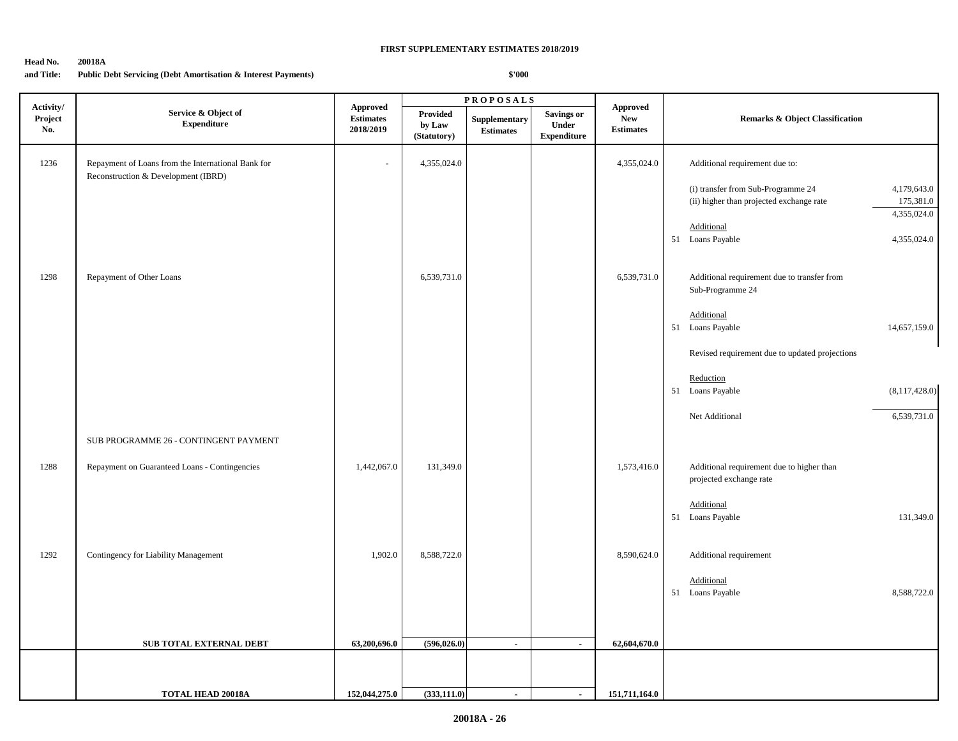## **Head No. 20018A**

## **and Title: Public Debt Servicing (Debt Amortisation & Interest Payments)**

|                             |                                                                                           |                                                  |                                          | <b>PROPOSALS</b>                  |                                                  |                                                   |                                                                                                                                         |  |
|-----------------------------|-------------------------------------------------------------------------------------------|--------------------------------------------------|------------------------------------------|-----------------------------------|--------------------------------------------------|---------------------------------------------------|-----------------------------------------------------------------------------------------------------------------------------------------|--|
| Activity/<br>Project<br>No. | Service & Object of<br>${\bf Expenditure}$                                                | <b>Approved</b><br><b>Estimates</b><br>2018/2019 | <b>Provided</b><br>by Law<br>(Statutory) | Supplementary<br><b>Estimates</b> | Savings or<br><b>Under</b><br><b>Expenditure</b> | <b>Approved</b><br><b>New</b><br><b>Estimates</b> | <b>Remarks &amp; Object Classification</b>                                                                                              |  |
| 1236                        | Repayment of Loans from the International Bank for<br>Reconstruction & Development (IBRD) |                                                  | 4,355,024.0                              |                                   |                                                  | 4,355,024.0                                       | Additional requirement due to:                                                                                                          |  |
|                             |                                                                                           |                                                  |                                          |                                   |                                                  |                                                   | 4,179,643.0<br>(i) transfer from Sub-Programme 24<br>175,381.0<br>(ii) higher than projected exchange rate<br>4,355,024.0<br>Additional |  |
|                             |                                                                                           |                                                  |                                          |                                   |                                                  |                                                   | 51 Loans Payable<br>4,355,024.0                                                                                                         |  |
| 1298                        | Repayment of Other Loans                                                                  |                                                  | 6,539,731.0                              |                                   |                                                  | 6,539,731.0                                       | Additional requirement due to transfer from<br>Sub-Programme 24                                                                         |  |
|                             |                                                                                           |                                                  |                                          |                                   |                                                  |                                                   | Additional<br>51 Loans Payable<br>14,657,159.0                                                                                          |  |
|                             |                                                                                           |                                                  |                                          |                                   |                                                  |                                                   | Revised requirement due to updated projections                                                                                          |  |
|                             |                                                                                           |                                                  |                                          |                                   |                                                  |                                                   | Reduction<br>51 Loans Payable<br>(8, 117, 428.0)                                                                                        |  |
|                             | SUB PROGRAMME 26 - CONTINGENT PAYMENT                                                     |                                                  |                                          |                                   |                                                  |                                                   | 6,539,731.0<br>Net Additional                                                                                                           |  |
| 1288                        | Repayment on Guaranteed Loans - Contingencies                                             | 1,442,067.0                                      | 131,349.0                                |                                   |                                                  | 1,573,416.0                                       | Additional requirement due to higher than<br>projected exchange rate                                                                    |  |
|                             |                                                                                           |                                                  |                                          |                                   |                                                  |                                                   | Additional<br>51 Loans Payable<br>131,349.0                                                                                             |  |
| 1292                        | Contingency for Liability Management                                                      | 1,902.0                                          | 8,588,722.0                              |                                   |                                                  | 8,590,624.0                                       | Additional requirement                                                                                                                  |  |
|                             |                                                                                           |                                                  |                                          |                                   |                                                  |                                                   | Additional<br>51 Loans Payable<br>8,588,722.0                                                                                           |  |
|                             | SUB TOTAL EXTERNAL DEBT                                                                   | 63,200,696.0                                     | (596, 026.0)                             | $\sim$                            | $\blacksquare$                                   | 62,604,670.0                                      |                                                                                                                                         |  |
|                             |                                                                                           |                                                  |                                          |                                   |                                                  |                                                   |                                                                                                                                         |  |
|                             | <b>TOTAL HEAD 20018A</b>                                                                  | 152,044,275.0                                    | (333, 111.0)                             | $\sim$                            | $\blacksquare$                                   | 151,711,164.0                                     |                                                                                                                                         |  |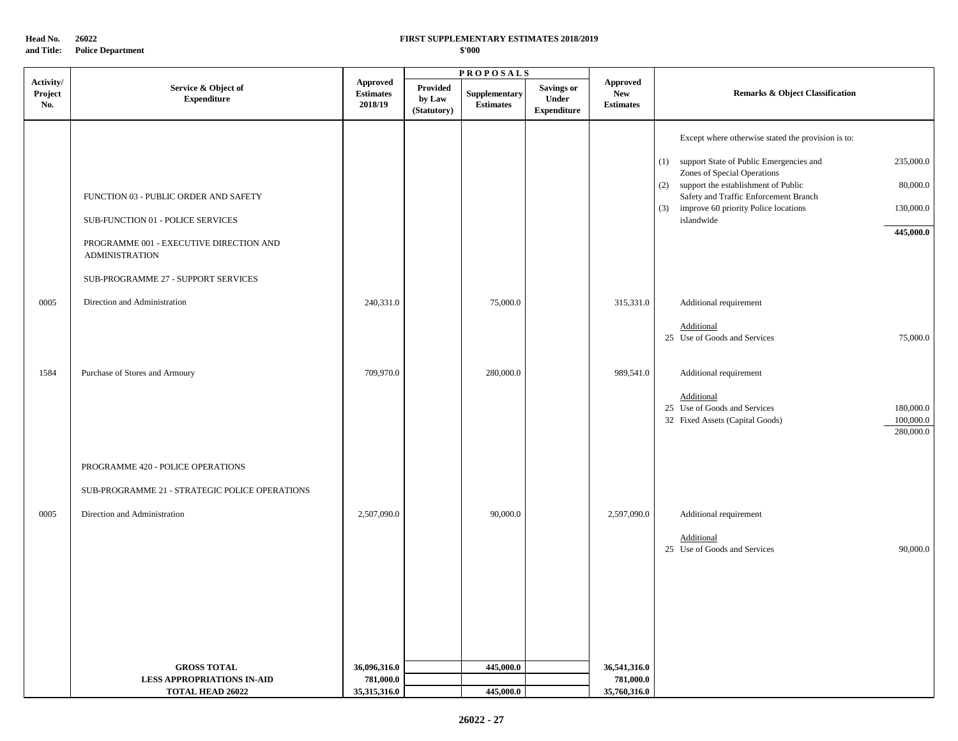**Head No. 26022**

**and Title: Police Department** 

## **FIRST SUPPLEMENTARY ESTIMATES 2018/2019**

|                             |                                                                                                                                                                                                                       |                                                |                                          | <b>PROPOSALS</b>                  |                                                         |                                                   |                                                                                                                                                                                                                                                                                                                                                                      |  |
|-----------------------------|-----------------------------------------------------------------------------------------------------------------------------------------------------------------------------------------------------------------------|------------------------------------------------|------------------------------------------|-----------------------------------|---------------------------------------------------------|---------------------------------------------------|----------------------------------------------------------------------------------------------------------------------------------------------------------------------------------------------------------------------------------------------------------------------------------------------------------------------------------------------------------------------|--|
| Activity/<br>Project<br>No. | Service & Object of<br><b>Expenditure</b>                                                                                                                                                                             | <b>Approved</b><br><b>Estimates</b><br>2018/19 | <b>Provided</b><br>by Law<br>(Statutory) | Supplementary<br><b>Estimates</b> | <b>Savings or</b><br><b>Under</b><br><b>Expenditure</b> | <b>Approved</b><br><b>New</b><br><b>Estimates</b> | <b>Remarks &amp; Object Classification</b>                                                                                                                                                                                                                                                                                                                           |  |
| 0005                        | FUNCTION 03 - PUBLIC ORDER AND SAFETY<br>SUB-FUNCTION 01 - POLICE SERVICES<br>PROGRAMME 001 - EXECUTIVE DIRECTION AND<br><b>ADMINISTRATION</b><br>SUB-PROGRAMME 27 - SUPPORT SERVICES<br>Direction and Administration | 240,331.0                                      |                                          | 75,000.0                          |                                                         | 315,331.0                                         | Except where otherwise stated the provision is to:<br>support State of Public Emergencies and<br>235,000.0<br>(1)<br>Zones of Special Operations<br>support the establishment of Public<br>80,000.0<br>(2)<br>Safety and Traffic Enforcement Branch<br>improve 60 priority Police locations<br>130,000.0<br>(3)<br>islandwide<br>445,000.0<br>Additional requirement |  |
|                             |                                                                                                                                                                                                                       |                                                |                                          |                                   |                                                         |                                                   | Additional<br>25 Use of Goods and Services<br>75,000.0                                                                                                                                                                                                                                                                                                               |  |
| 1584                        | Purchase of Stores and Armoury                                                                                                                                                                                        | 709,970.0                                      |                                          | 280,000.0                         |                                                         | 989,541.0                                         | Additional requirement<br>Additional<br>25 Use of Goods and Services<br>180,000.0<br>100,000.0<br>32 Fixed Assets (Capital Goods)<br>280,000.0                                                                                                                                                                                                                       |  |
|                             | PROGRAMME 420 - POLICE OPERATIONS<br>SUB-PROGRAMME 21 - STRATEGIC POLICE OPERATIONS                                                                                                                                   |                                                |                                          |                                   |                                                         |                                                   |                                                                                                                                                                                                                                                                                                                                                                      |  |
| 0005                        | Direction and Administration                                                                                                                                                                                          | 2,507,090.0                                    |                                          | 90,000.0                          |                                                         | 2,597,090.0                                       | Additional requirement<br>Additional<br>25 Use of Goods and Services<br>90,000.0                                                                                                                                                                                                                                                                                     |  |
|                             | <b>GROSS TOTAL</b>                                                                                                                                                                                                    | 36,096,316.0                                   |                                          | 445,000.0                         |                                                         | 36,541,316.0                                      |                                                                                                                                                                                                                                                                                                                                                                      |  |
|                             | <b>LESS APPROPRIATIONS IN-AID</b><br><b>TOTAL HEAD 26022</b>                                                                                                                                                          | 781,000.0<br>35,315,316.0                      |                                          | 445,000.0                         |                                                         | 781,000.0<br>35,760,316.0                         |                                                                                                                                                                                                                                                                                                                                                                      |  |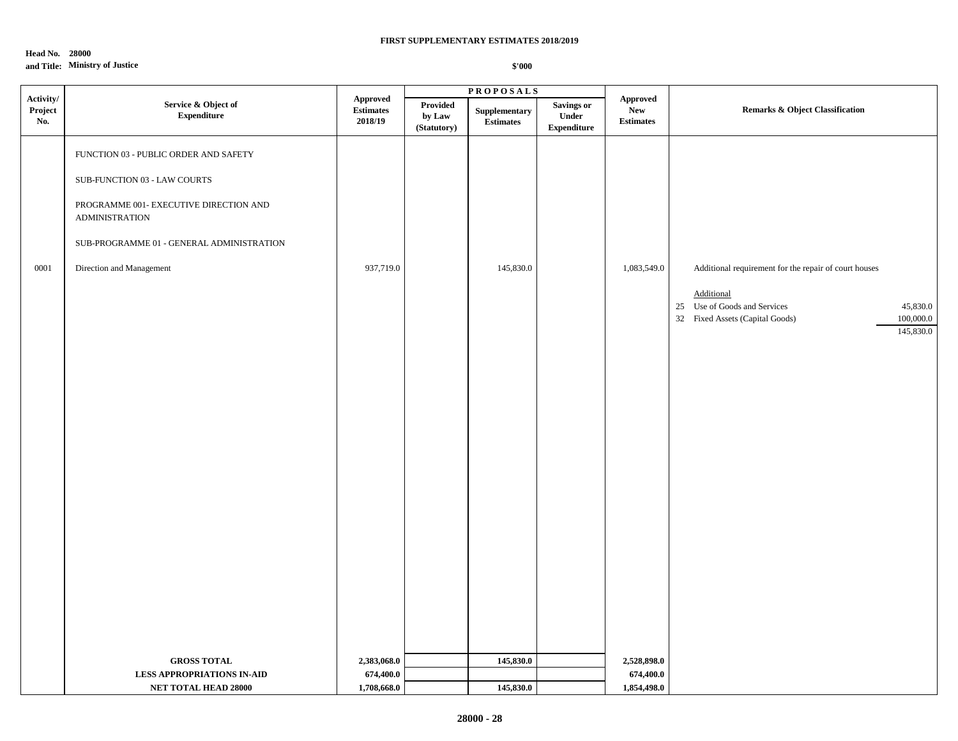## **Head No. 28000**

## **and Title: Ministry of Justice**

|                             |                                                                                                                                                                                                                   |                                                |                                   | <b>PROPOSALS</b>           |                                                  |                                                   |                                                                                                                                        |                                    |
|-----------------------------|-------------------------------------------------------------------------------------------------------------------------------------------------------------------------------------------------------------------|------------------------------------------------|-----------------------------------|----------------------------|--------------------------------------------------|---------------------------------------------------|----------------------------------------------------------------------------------------------------------------------------------------|------------------------------------|
| Activity/<br>Project<br>No. | Service & Object of<br>${\bf Expenditure}$                                                                                                                                                                        | <b>Approved</b><br><b>Estimates</b><br>2018/19 | Provided<br>by Law<br>(Statutory) | Supplementary<br>Estimates | Savings or<br><b>Under</b><br><b>Expenditure</b> | <b>Approved</b><br><b>New</b><br><b>Estimates</b> | <b>Remarks &amp; Object Classification</b>                                                                                             |                                    |
| 0001                        | FUNCTION 03 - PUBLIC ORDER AND SAFETY<br>SUB-FUNCTION 03 - LAW COURTS<br>PROGRAMME 001- EXECUTIVE DIRECTION AND<br><b>ADMINISTRATION</b><br>SUB-PROGRAMME 01 - GENERAL ADMINISTRATION<br>Direction and Management | 937,719.0                                      |                                   | 145,830.0                  |                                                  | 1,083,549.0                                       | Additional requirement for the repair of court houses<br>Additional<br>25 Use of Goods and Services<br>32 Fixed Assets (Capital Goods) | 45,830.0<br>100,000.0<br>145,830.0 |
|                             |                                                                                                                                                                                                                   |                                                |                                   |                            |                                                  |                                                   |                                                                                                                                        |                                    |
|                             | <b>GROSS TOTAL</b>                                                                                                                                                                                                | 2,383,068.0                                    |                                   | 145,830.0                  |                                                  | 2,528,898.0                                       |                                                                                                                                        |                                    |
|                             | <b>LESS APPROPRIATIONS IN-AID</b>                                                                                                                                                                                 | 674,400.0                                      |                                   |                            |                                                  | 674,400.0                                         |                                                                                                                                        |                                    |
|                             | NET TOTAL HEAD 28000                                                                                                                                                                                              | 1,708,668.0                                    |                                   | 145,830.0                  |                                                  | 1,854,498.0                                       |                                                                                                                                        |                                    |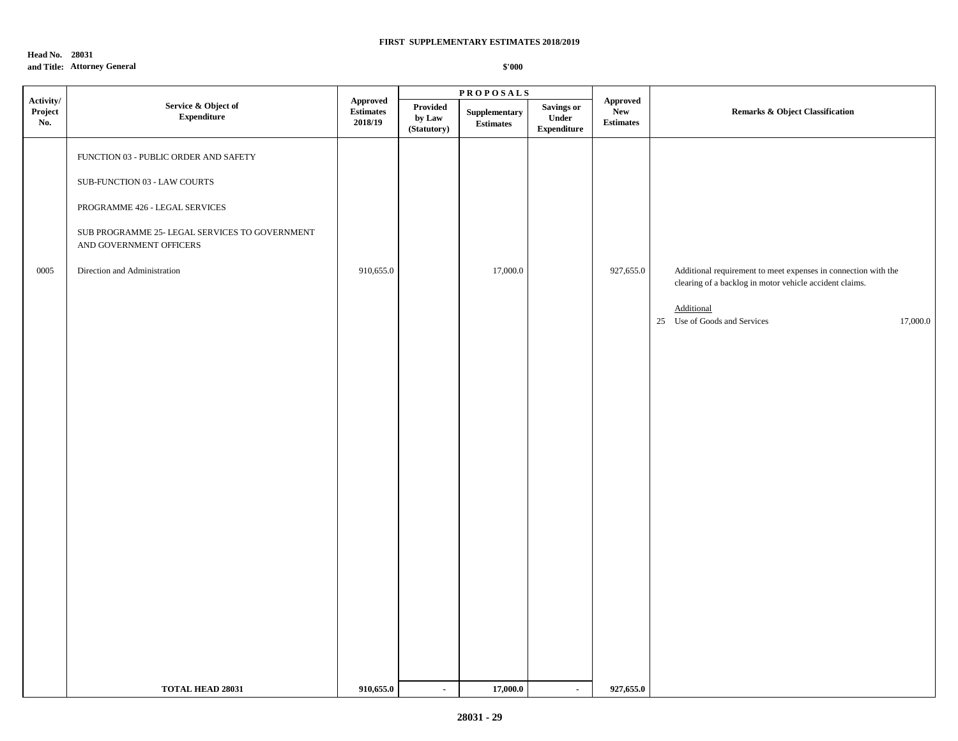## **Head No. 28031 and Title: Attorney General**

|                             |                                                                                                                                                                                                                      |                                                |                                   | <b>PROPOSALS</b>                  |                                           |                                                   |                                                                                                                                                                                     |  |
|-----------------------------|----------------------------------------------------------------------------------------------------------------------------------------------------------------------------------------------------------------------|------------------------------------------------|-----------------------------------|-----------------------------------|-------------------------------------------|---------------------------------------------------|-------------------------------------------------------------------------------------------------------------------------------------------------------------------------------------|--|
| Activity/<br>Project<br>No. | Service & Object of<br>${\bf Expenditure}$                                                                                                                                                                           | <b>Approved</b><br><b>Estimates</b><br>2018/19 | Provided<br>by Law<br>(Statutory) | Supplementary<br><b>Estimates</b> | Savings or<br>Under<br><b>Expenditure</b> | <b>Approved</b><br><b>New</b><br><b>Estimates</b> | <b>Remarks &amp; Object Classification</b>                                                                                                                                          |  |
| 0005                        | FUNCTION 03 - PUBLIC ORDER AND SAFETY<br>SUB-FUNCTION 03 - LAW COURTS<br>PROGRAMME 426 - LEGAL SERVICES<br>SUB PROGRAMME 25- LEGAL SERVICES TO GOVERNMENT<br>AND GOVERNMENT OFFICERS<br>Direction and Administration | 910,655.0                                      |                                   | 17,000.0                          |                                           | 927,655.0                                         | Additional requirement to meet expenses in connection with the<br>clearing of a backlog in motor vehicle accident claims.<br>Additional<br>17,000.0<br>25 Use of Goods and Services |  |
|                             | <b>TOTAL HEAD 28031</b>                                                                                                                                                                                              | 910,655.0                                      | $\blacksquare$                    | 17,000.0                          | $\sim$                                    | 927,655.0                                         |                                                                                                                                                                                     |  |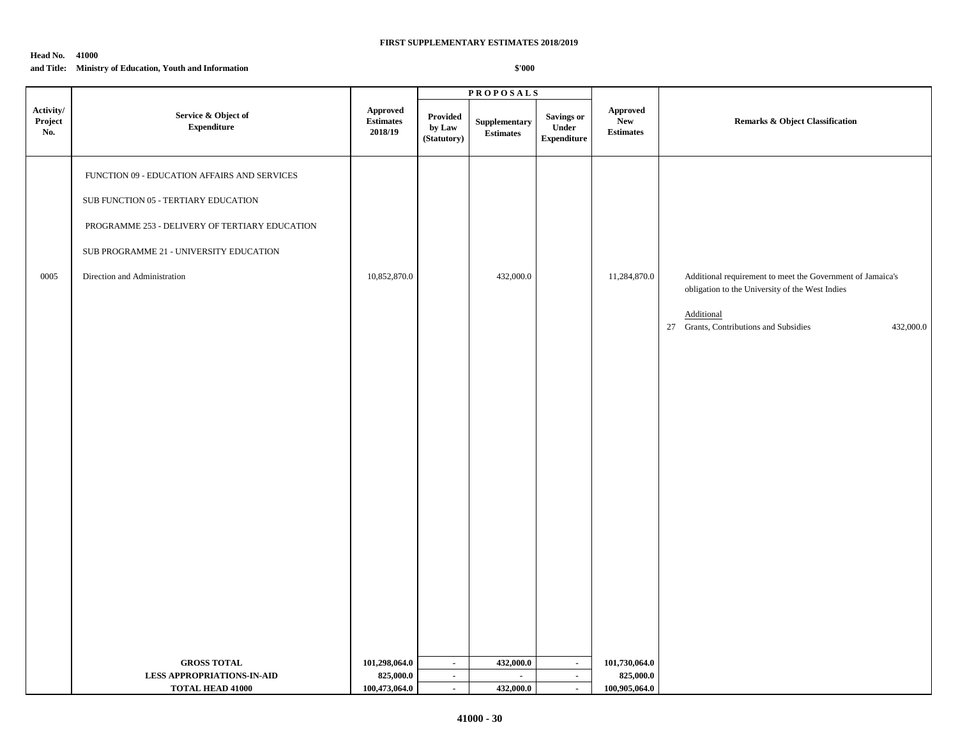#### **Head No. 41000**

#### **and Title: Ministry of Education, Youth and Information**

|                             |                                                                                                                                                                                                                   |                                             |                                   | <b>PROPOSALS</b>                         |                                                  |                                                   |                                                                                                                                                                                    |
|-----------------------------|-------------------------------------------------------------------------------------------------------------------------------------------------------------------------------------------------------------------|---------------------------------------------|-----------------------------------|------------------------------------------|--------------------------------------------------|---------------------------------------------------|------------------------------------------------------------------------------------------------------------------------------------------------------------------------------------|
| Activity/<br>Project<br>No. | Service & Object of<br>${\bf Expenditure}$                                                                                                                                                                        | Approved<br><b>Estimates</b><br>2018/19     | Provided<br>by Law<br>(Statutory) | Supplementary<br><b>Estimates</b>        | <b>Savings or</b><br>Under<br><b>Expenditure</b> | <b>Approved</b><br><b>New</b><br><b>Estimates</b> | <b>Remarks &amp; Object Classification</b>                                                                                                                                         |
| 0005                        | FUNCTION 09 - EDUCATION AFFAIRS AND SERVICES<br>SUB FUNCTION 05 - TERTIARY EDUCATION<br>PROGRAMME 253 - DELIVERY OF TERTIARY EDUCATION<br>SUB PROGRAMME 21 - UNIVERSITY EDUCATION<br>Direction and Administration | 10,852,870.0                                |                                   | 432,000.0                                |                                                  | 11,284,870.0                                      | Additional requirement to meet the Government of Jamaica's<br>obligation to the University of the West Indies<br>Additional<br>27 Grants, Contributions and Subsidies<br>432,000.0 |
|                             | <b>GROSS TOTAL</b><br><b>LESS APPROPRIATIONS-IN-AID</b><br><b>TOTAL HEAD 41000</b>                                                                                                                                | 101,298,064.0<br>825,000.0<br>100,473,064.0 | $\sim$<br>$\sim$<br>$\sim$        | 432,000.0<br>$\blacksquare$<br>432,000.0 | $\sim$<br>$\blacksquare$<br>$\blacksquare$       | 101,730,064.0<br>825,000.0<br>100,905,064.0       |                                                                                                                                                                                    |
|                             |                                                                                                                                                                                                                   |                                             |                                   |                                          |                                                  |                                                   |                                                                                                                                                                                    |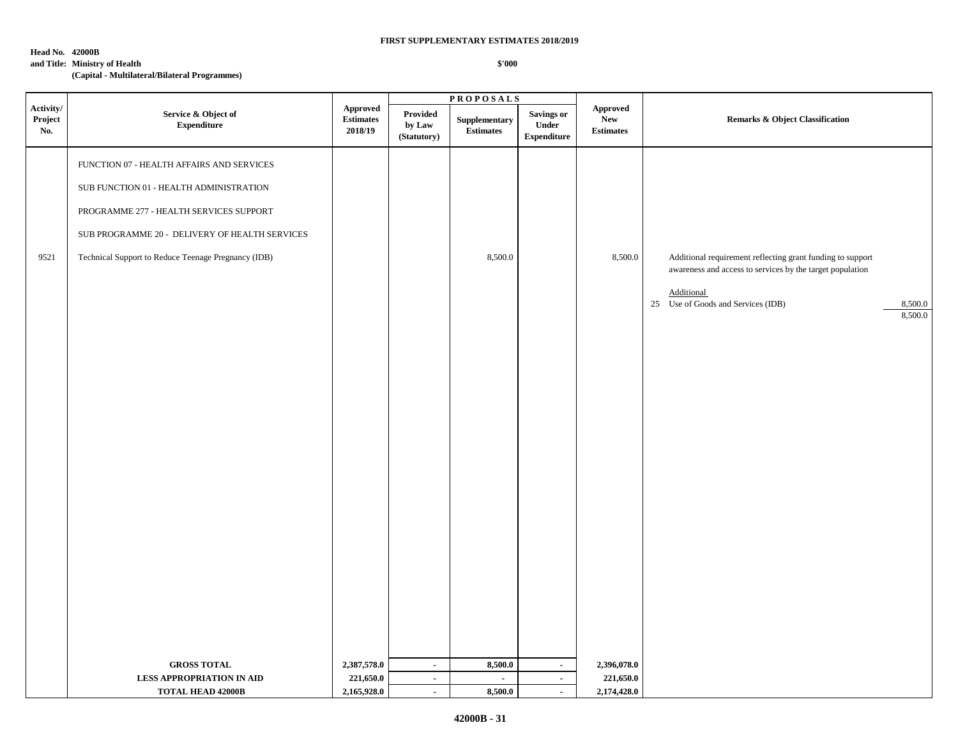#### **Head No. 42000B**

## **and Title: Ministry of Health**

**(Capital - Multilateral/Bilateral Programmes)**

|                             |                                                                                                                                                                                                                                          |                                               |                                   | <b>PROPOSALS</b>           |                                            |                                            |                                                                                                                         |
|-----------------------------|------------------------------------------------------------------------------------------------------------------------------------------------------------------------------------------------------------------------------------------|-----------------------------------------------|-----------------------------------|----------------------------|--------------------------------------------|--------------------------------------------|-------------------------------------------------------------------------------------------------------------------------|
| Activity/<br>Project<br>No. | Service & Object of<br><b>Expenditure</b>                                                                                                                                                                                                | <b>Approved</b><br>$\bf Estimates$<br>2018/19 | Provided<br>by Law<br>(Statutory) | Supplementary<br>Estimates | Savings or<br>Under<br>${\bf Expenditure}$ | Approved<br><b>New</b><br><b>Estimates</b> | <b>Remarks &amp; Object Classification</b>                                                                              |
| 9521                        | FUNCTION 07 - HEALTH AFFAIRS AND SERVICES<br>SUB FUNCTION 01 - HEALTH ADMINISTRATION<br>PROGRAMME 277 - HEALTH SERVICES SUPPORT<br>SUB PROGRAMME 20 - DELIVERY OF HEALTH SERVICES<br>Technical Support to Reduce Teenage Pregnancy (IDB) |                                               |                                   | 8,500.0                    |                                            | 8,500.0                                    | Additional requirement reflecting grant funding to support<br>awareness and access to services by the target population |
|                             | <b>GROSS TOTAL</b>                                                                                                                                                                                                                       | 2,387,578.0                                   | $\sim$                            | 8,500.0                    | $\sim$                                     | 2,396,078.0                                | Additional<br>25 Use of Goods and Services (IDB)<br>$\frac{8,500.0}{8,500.0}$                                           |
|                             |                                                                                                                                                                                                                                          |                                               |                                   |                            |                                            |                                            |                                                                                                                         |
|                             | LESS APPROPRIATION IN AID                                                                                                                                                                                                                | 221,650.0                                     | $\sim$                            | $\blacksquare$             | $\sim$                                     | 221,650.0                                  |                                                                                                                         |
|                             | <b>TOTAL HEAD 42000B</b>                                                                                                                                                                                                                 | 2,165,928.0                                   | $\sim$                            | 8,500.0                    | $\sim$                                     | 2,174,428.0                                |                                                                                                                         |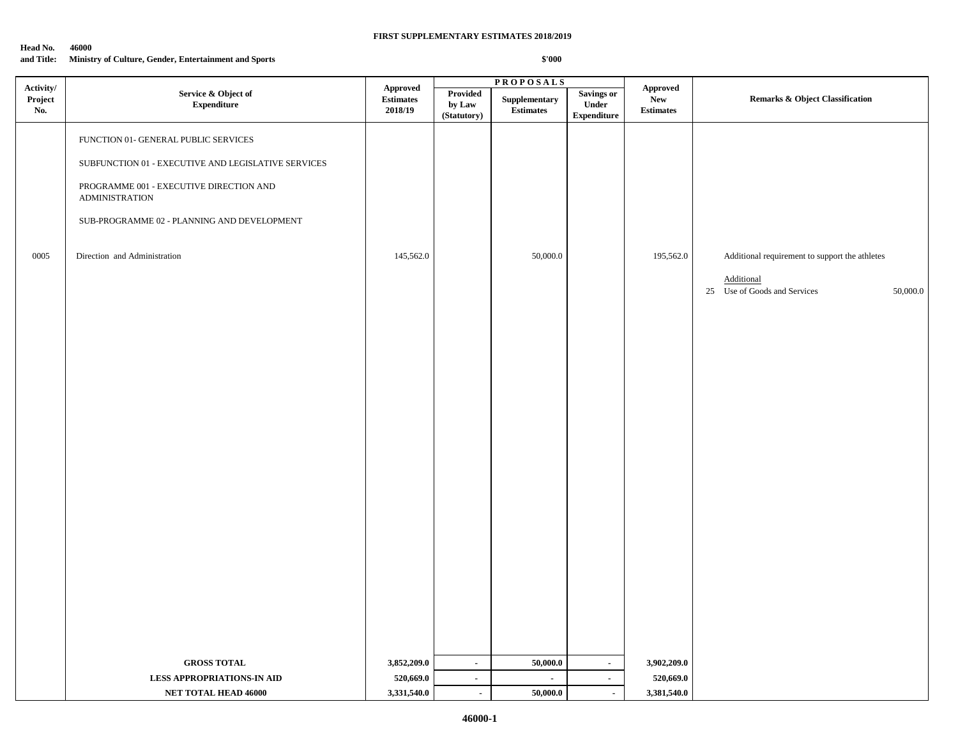| Head No.   | 46000                                                 |
|------------|-------------------------------------------------------|
| and Title: | Ministry of Culture, Gender, Entertainment and Sports |

|                             |                                                                  |                                         |                                   | <b>PROPOSALS</b>                  |                                                         |                                                   |                                                        |  |
|-----------------------------|------------------------------------------------------------------|-----------------------------------------|-----------------------------------|-----------------------------------|---------------------------------------------------------|---------------------------------------------------|--------------------------------------------------------|--|
| Activity/<br>Project<br>No. | Service & Object of<br>${\bf Expenditure}$                       | Approved<br><b>Estimates</b><br>2018/19 | Provided<br>by Law<br>(Statutory) | Supplementary<br><b>Estimates</b> | <b>Savings or</b><br><b>Under</b><br><b>Expenditure</b> | <b>Approved</b><br><b>New</b><br><b>Estimates</b> | Remarks & Object Classification                        |  |
|                             | FUNCTION 01- GENERAL PUBLIC SERVICES                             |                                         |                                   |                                   |                                                         |                                                   |                                                        |  |
|                             | SUBFUNCTION 01 - EXECUTIVE AND LEGISLATIVE SERVICES              |                                         |                                   |                                   |                                                         |                                                   |                                                        |  |
|                             | PROGRAMME 001 - EXECUTIVE DIRECTION AND<br><b>ADMINISTRATION</b> |                                         |                                   |                                   |                                                         |                                                   |                                                        |  |
|                             | SUB-PROGRAMME 02 - PLANNING AND DEVELOPMENT                      |                                         |                                   |                                   |                                                         |                                                   |                                                        |  |
| 0005                        | Direction and Administration                                     | 145,562.0                               |                                   | 50,000.0                          |                                                         | 195,562.0                                         | Additional requirement to support the athletes         |  |
|                             |                                                                  |                                         |                                   |                                   |                                                         |                                                   | Additional<br>25 Use of Goods and Services<br>50,000.0 |  |
|                             |                                                                  |                                         |                                   |                                   |                                                         |                                                   |                                                        |  |
|                             |                                                                  |                                         |                                   |                                   |                                                         |                                                   |                                                        |  |
|                             |                                                                  |                                         |                                   |                                   |                                                         |                                                   |                                                        |  |
|                             |                                                                  |                                         |                                   |                                   |                                                         |                                                   |                                                        |  |
|                             |                                                                  |                                         |                                   |                                   |                                                         |                                                   |                                                        |  |
|                             |                                                                  |                                         |                                   |                                   |                                                         |                                                   |                                                        |  |
|                             |                                                                  |                                         |                                   |                                   |                                                         |                                                   |                                                        |  |
|                             |                                                                  |                                         |                                   |                                   |                                                         |                                                   |                                                        |  |
|                             |                                                                  |                                         |                                   |                                   |                                                         |                                                   |                                                        |  |
|                             |                                                                  |                                         |                                   |                                   |                                                         |                                                   |                                                        |  |
|                             |                                                                  |                                         |                                   |                                   |                                                         |                                                   |                                                        |  |
|                             | <b>GROSS TOTAL</b>                                               | 3,852,209.0                             | $\blacksquare$                    | 50,000.0                          | $\blacksquare$                                          | 3,902,209.0                                       |                                                        |  |
|                             | <b>LESS APPROPRIATIONS-IN AID</b>                                | 520,669.0                               | $\blacksquare$                    | $\sim$                            | $\blacksquare$                                          | 520,669.0                                         |                                                        |  |
|                             | NET TOTAL HEAD 46000                                             | 3,331,540.0                             | $\blacksquare$                    | 50,000.0                          | $\sim$                                                  | 3,381,540.0                                       |                                                        |  |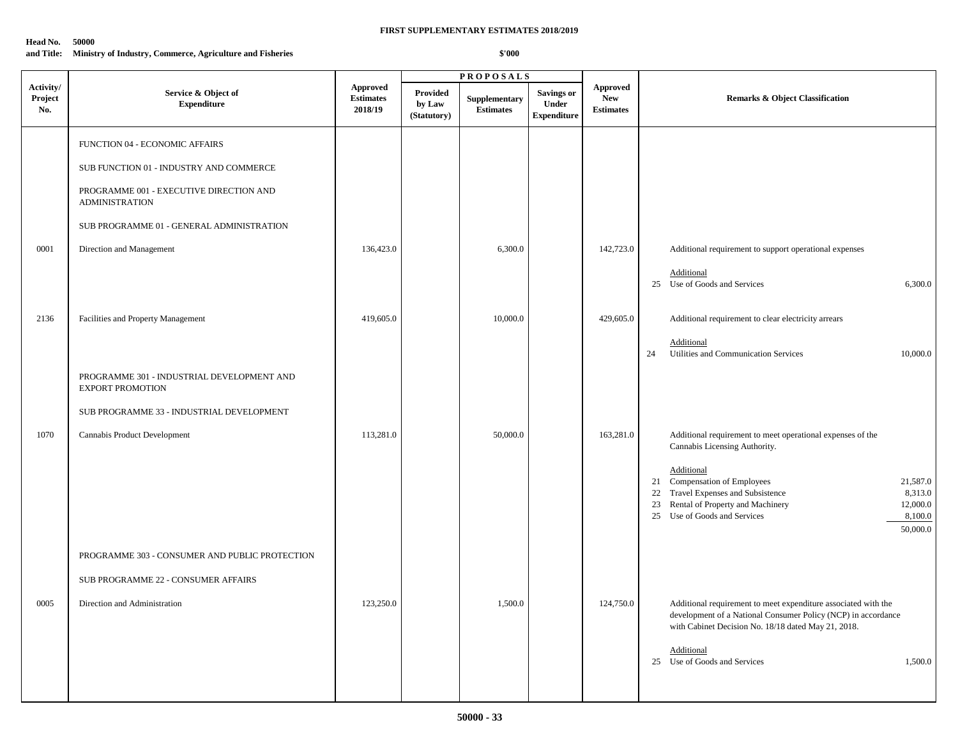### **Head No. 50000**

**and Title: Ministry of Industry, Commerce, Agriculture and Fisheries**

|                             |                                                                                                                                                                                                                        |                                                |                                   | <b>PROPOSALS</b>                  |                                                  |                                                   |                                                                                                                                                                                                                                                                                                                  |
|-----------------------------|------------------------------------------------------------------------------------------------------------------------------------------------------------------------------------------------------------------------|------------------------------------------------|-----------------------------------|-----------------------------------|--------------------------------------------------|---------------------------------------------------|------------------------------------------------------------------------------------------------------------------------------------------------------------------------------------------------------------------------------------------------------------------------------------------------------------------|
| Activity/<br>Project<br>No. | Service & Object of<br><b>Expenditure</b>                                                                                                                                                                              | <b>Approved</b><br><b>Estimates</b><br>2018/19 | Provided<br>by Law<br>(Statutory) | Supplementary<br><b>Estimates</b> | <b>Savings or</b><br>Under<br><b>Expenditure</b> | <b>Approved</b><br><b>New</b><br><b>Estimates</b> | <b>Remarks &amp; Object Classification</b>                                                                                                                                                                                                                                                                       |
| 0001                        | FUNCTION 04 - ECONOMIC AFFAIRS<br>SUB FUNCTION 01 - INDUSTRY AND COMMERCE<br>PROGRAMME 001 - EXECUTIVE DIRECTION AND<br><b>ADMINISTRATION</b><br>SUB PROGRAMME 01 - GENERAL ADMINISTRATION<br>Direction and Management | 136,423.0                                      |                                   | 6,300.0                           |                                                  | 142,723.0                                         | Additional requirement to support operational expenses<br>Additional<br>25 Use of Goods and Services<br>6,300.0                                                                                                                                                                                                  |
| 2136                        | Facilities and Property Management<br>PROGRAMME 301 - INDUSTRIAL DEVELOPMENT AND<br><b>EXPORT PROMOTION</b>                                                                                                            | 419,605.0                                      |                                   | 10,000.0                          |                                                  | 429,605.0                                         | Additional requirement to clear electricity arrears<br>Additional<br>Utilities and Communication Services<br>24<br>10,000.0                                                                                                                                                                                      |
| 1070                        | SUB PROGRAMME 33 - INDUSTRIAL DEVELOPMENT<br>Cannabis Product Development                                                                                                                                              | 113,281.0                                      |                                   | 50,000.0                          |                                                  | 163,281.0                                         | Additional requirement to meet operational expenses of the<br>Cannabis Licensing Authority.<br>Additional<br>21 Compensation of Employees<br>21,587.0<br>22 Travel Expenses and Subsistence<br>8,313.0<br>23 Rental of Property and Machinery<br>12,000.0<br>25 Use of Goods and Services<br>8,100.0<br>50,000.0 |
| 0005                        | PROGRAMME 303 - CONSUMER AND PUBLIC PROTECTION<br>SUB PROGRAMME 22 - CONSUMER AFFAIRS<br>Direction and Administration                                                                                                  | 123,250.0                                      |                                   | 1,500.0                           |                                                  | 124,750.0                                         | Additional requirement to meet expenditure associated with the<br>development of a National Consumer Policy (NCP) in accordance<br>with Cabinet Decision No. 18/18 dated May 21, 2018.<br>Additional<br>25 Use of Goods and Services<br>1,500.0                                                                  |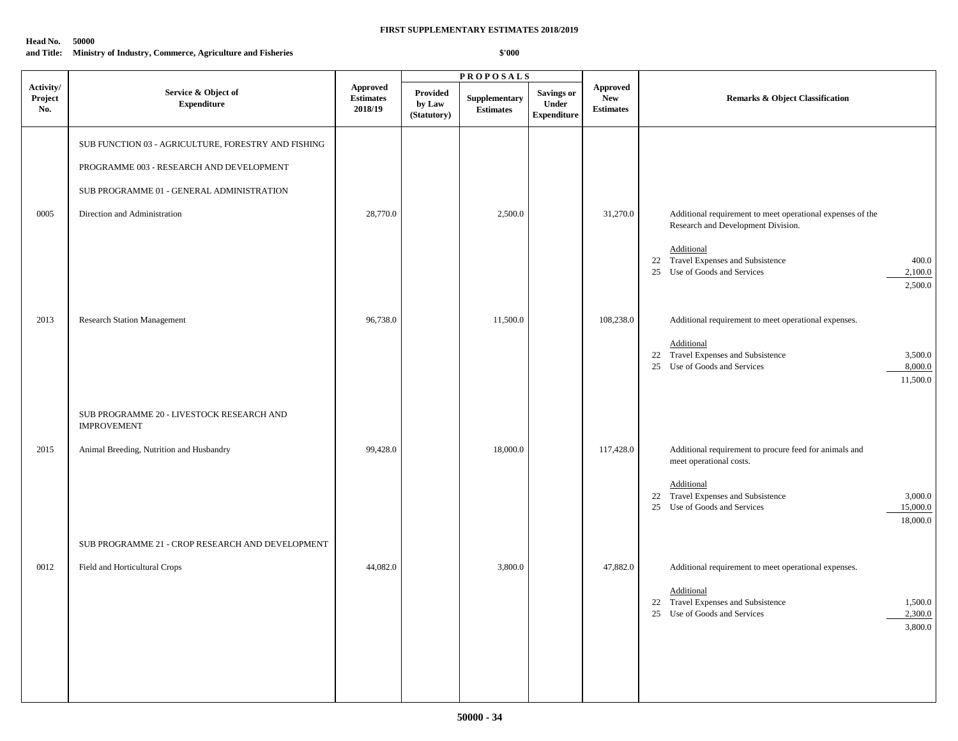### **Head No. 50000**

**and Title: Ministry of Industry, Commerce, Agriculture and Fisheries**

|                             |                                                                                                                                                                              |                                                |                                          | <b>PROPOSALS</b>                  |                                                  |                                                   |                                                                                                                                                                                                          |  |
|-----------------------------|------------------------------------------------------------------------------------------------------------------------------------------------------------------------------|------------------------------------------------|------------------------------------------|-----------------------------------|--------------------------------------------------|---------------------------------------------------|----------------------------------------------------------------------------------------------------------------------------------------------------------------------------------------------------------|--|
| Activity/<br>Project<br>No. | Service & Object of<br><b>Expenditure</b>                                                                                                                                    | <b>Approved</b><br><b>Estimates</b><br>2018/19 | <b>Provided</b><br>by Law<br>(Statutory) | Supplementary<br><b>Estimates</b> | <b>Savings or</b><br>Under<br><b>Expenditure</b> | <b>Approved</b><br><b>New</b><br><b>Estimates</b> | <b>Remarks &amp; Object Classification</b>                                                                                                                                                               |  |
| 0005                        | SUB FUNCTION 03 - AGRICULTURE, FORESTRY AND FISHING<br>PROGRAMME 003 - RESEARCH AND DEVELOPMENT<br>SUB PROGRAMME 01 - GENERAL ADMINISTRATION<br>Direction and Administration | 28,770.0                                       |                                          | 2,500.0                           |                                                  | 31,270.0                                          | Additional requirement to meet operational expenses of the                                                                                                                                               |  |
|                             |                                                                                                                                                                              |                                                |                                          |                                   |                                                  |                                                   | Research and Development Division.<br>Additional<br>22 Travel Expenses and Subsistence<br>400.0<br>25 Use of Goods and Services<br>2,100.0<br>2,500.0                                                    |  |
| 2013                        | <b>Research Station Management</b>                                                                                                                                           | 96,738.0                                       |                                          | 11,500.0                          |                                                  | 108,238.0                                         | Additional requirement to meet operational expenses.<br>Additional<br>22 Travel Expenses and Subsistence<br>3,500.0<br>25 Use of Goods and Services<br>8,000.0<br>11,500.0                               |  |
|                             | SUB PROGRAMME 20 - LIVESTOCK RESEARCH AND<br><b>IMPROVEMENT</b>                                                                                                              |                                                |                                          |                                   |                                                  |                                                   |                                                                                                                                                                                                          |  |
| 2015                        | Animal Breeding, Nutrition and Husbandry                                                                                                                                     | 99,428.0                                       |                                          | 18,000.0                          |                                                  | 117,428.0                                         | Additional requirement to procure feed for animals and<br>meet operational costs.<br>Additional<br>22 Travel Expenses and Subsistence<br>3,000.0<br>25 Use of Goods and Services<br>15,000.0<br>18,000.0 |  |
|                             | SUB PROGRAMME 21 - CROP RESEARCH AND DEVELOPMENT                                                                                                                             |                                                |                                          |                                   |                                                  |                                                   |                                                                                                                                                                                                          |  |
| 0012                        | Field and Horticultural Crops                                                                                                                                                | 44,082.0                                       |                                          | 3,800.0                           |                                                  | 47,882.0                                          | Additional requirement to meet operational expenses.<br>Additional<br>22 Travel Expenses and Subsistence<br>1,500.0<br>25 Use of Goods and Services<br>2,300.0<br>3,800.0                                |  |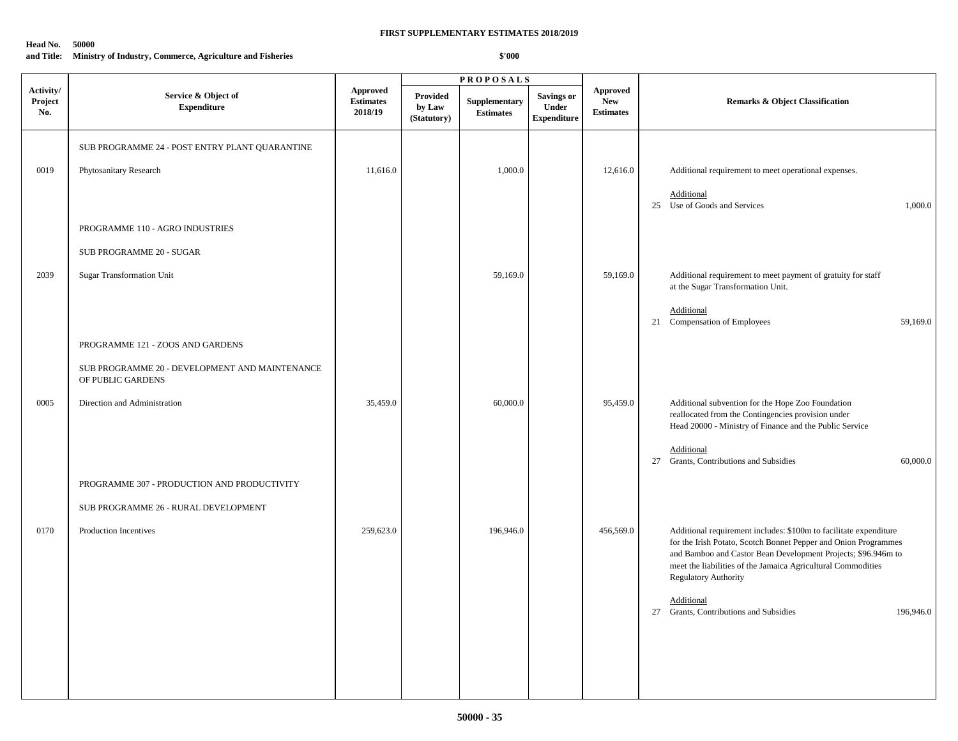#### **Head No. 50000**

**and Title: Ministry of Industry, Commerce, Agriculture and Fisheries**

|                             |                                                                     |                                                | <b>PROPOSALS</b>                  |                                  |                                                  |                                                   |                                                                                                                                                                                                                                                                                                      |
|-----------------------------|---------------------------------------------------------------------|------------------------------------------------|-----------------------------------|----------------------------------|--------------------------------------------------|---------------------------------------------------|------------------------------------------------------------------------------------------------------------------------------------------------------------------------------------------------------------------------------------------------------------------------------------------------------|
| Activity/<br>Project<br>No. | Service & Object of<br><b>Expenditure</b>                           | <b>Approved</b><br><b>Estimates</b><br>2018/19 | Provided<br>by Law<br>(Statutory) | Supplementary<br>$\bf Estimates$ | <b>Savings or</b><br>Under<br><b>Expenditure</b> | <b>Approved</b><br><b>New</b><br><b>Estimates</b> | <b>Remarks &amp; Object Classification</b>                                                                                                                                                                                                                                                           |
|                             | SUB PROGRAMME 24 - POST ENTRY PLANT QUARANTINE                      |                                                |                                   |                                  |                                                  |                                                   |                                                                                                                                                                                                                                                                                                      |
| 0019                        | Phytosanitary Research                                              | 11,616.0                                       |                                   | 1,000.0                          |                                                  | 12,616.0                                          | Additional requirement to meet operational expenses.                                                                                                                                                                                                                                                 |
|                             |                                                                     |                                                |                                   |                                  |                                                  |                                                   | Additional<br>25 Use of Goods and Services<br>1,000.0                                                                                                                                                                                                                                                |
|                             | PROGRAMME 110 - AGRO INDUSTRIES                                     |                                                |                                   |                                  |                                                  |                                                   |                                                                                                                                                                                                                                                                                                      |
|                             | SUB PROGRAMME 20 - SUGAR                                            |                                                |                                   |                                  |                                                  |                                                   |                                                                                                                                                                                                                                                                                                      |
| 2039                        | <b>Sugar Transformation Unit</b>                                    |                                                |                                   | 59,169.0                         |                                                  | 59,169.0                                          | Additional requirement to meet payment of gratuity for staff<br>at the Sugar Transformation Unit.                                                                                                                                                                                                    |
|                             |                                                                     |                                                |                                   |                                  |                                                  |                                                   | Additional<br>21 Compensation of Employees<br>59,169.0                                                                                                                                                                                                                                               |
|                             | PROGRAMME 121 - ZOOS AND GARDENS                                    |                                                |                                   |                                  |                                                  |                                                   |                                                                                                                                                                                                                                                                                                      |
|                             | SUB PROGRAMME 20 - DEVELOPMENT AND MAINTENANCE<br>OF PUBLIC GARDENS |                                                |                                   |                                  |                                                  |                                                   |                                                                                                                                                                                                                                                                                                      |
| 0005                        | Direction and Administration                                        | 35,459.0                                       |                                   | 60,000.0                         |                                                  | 95,459.0                                          | Additional subvention for the Hope Zoo Foundation<br>reallocated from the Contingencies provision under                                                                                                                                                                                              |
|                             |                                                                     |                                                |                                   |                                  |                                                  |                                                   | Head 20000 - Ministry of Finance and the Public Service<br>Additional                                                                                                                                                                                                                                |
|                             |                                                                     |                                                |                                   |                                  |                                                  |                                                   | 27 Grants, Contributions and Subsidies<br>60,000.0                                                                                                                                                                                                                                                   |
|                             | PROGRAMME 307 - PRODUCTION AND PRODUCTIVITY                         |                                                |                                   |                                  |                                                  |                                                   |                                                                                                                                                                                                                                                                                                      |
|                             | SUB PROGRAMME 26 - RURAL DEVELOPMENT                                |                                                |                                   |                                  |                                                  |                                                   |                                                                                                                                                                                                                                                                                                      |
| 0170                        | Production Incentives                                               | 259,623.0                                      |                                   | 196,946.0                        |                                                  | 456,569.0                                         | Additional requirement includes: \$100m to facilitate expenditure<br>for the Irish Potato, Scotch Bonnet Pepper and Onion Programmes<br>and Bamboo and Castor Bean Development Projects; \$96.946m to<br>meet the liabilities of the Jamaica Agricultural Commodities<br><b>Regulatory Authority</b> |
|                             |                                                                     |                                                |                                   |                                  |                                                  |                                                   | Additional<br>27 Grants, Contributions and Subsidies<br>196,946.0                                                                                                                                                                                                                                    |
|                             |                                                                     |                                                |                                   |                                  |                                                  |                                                   |                                                                                                                                                                                                                                                                                                      |
|                             |                                                                     |                                                |                                   |                                  |                                                  |                                                   |                                                                                                                                                                                                                                                                                                      |
|                             |                                                                     |                                                |                                   |                                  |                                                  |                                                   |                                                                                                                                                                                                                                                                                                      |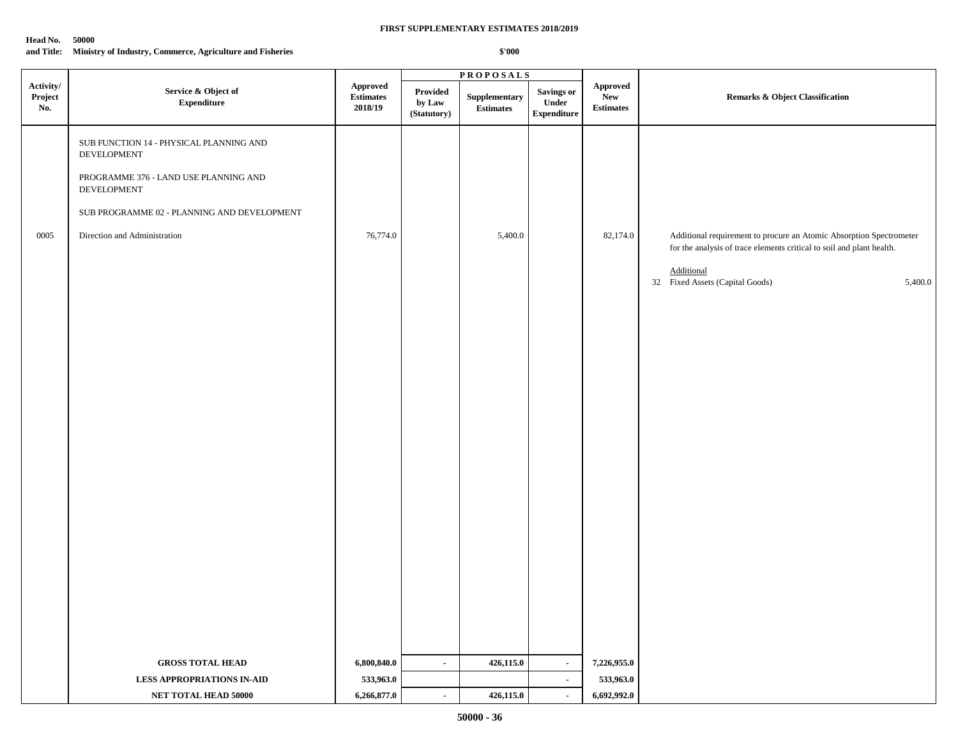#### **Head No. 50000**

|                             |                                                                                                                                                                                               |                                                | <b>PROPOSALS</b>                  |                                                    |                                           |                                     |                                                                                                                                                                                                          |
|-----------------------------|-----------------------------------------------------------------------------------------------------------------------------------------------------------------------------------------------|------------------------------------------------|-----------------------------------|----------------------------------------------------|-------------------------------------------|-------------------------------------|----------------------------------------------------------------------------------------------------------------------------------------------------------------------------------------------------------|
| Activity/<br>Project<br>No. | Service & Object of<br>${\bf Expenditure}$                                                                                                                                                    | <b>Approved</b><br><b>Estimates</b><br>2018/19 | Provided<br>by Law<br>(Statutory) | ${\Large \bf Supplementary}\\$<br><b>Estimates</b> | Savings or<br>Under<br><b>Expenditure</b> | Approved<br>New<br><b>Estimates</b> | Remarks & Object Classification                                                                                                                                                                          |
| 0005                        | SUB FUNCTION 14 - PHYSICAL PLANNING AND<br>DEVELOPMENT<br>PROGRAMME 376 - LAND USE PLANNING AND<br>DEVELOPMENT<br>SUB PROGRAMME 02 - PLANNING AND DEVELOPMENT<br>Direction and Administration | 76,774.0                                       |                                   | 5,400.0                                            |                                           | 82,174.0                            | Additional requirement to procure an Atomic Absorption Spectrometer<br>for the analysis of trace elements critical to soil and plant health.<br>Additional<br>32 Fixed Assets (Capital Goods)<br>5,400.0 |
|                             |                                                                                                                                                                                               |                                                |                                   |                                                    |                                           |                                     |                                                                                                                                                                                                          |
|                             | <b>GROSS TOTAL HEAD</b>                                                                                                                                                                       | 6,800,840.0                                    | $\sim$                            | 426,115.0                                          | $\sim$                                    | 7,226,955.0                         |                                                                                                                                                                                                          |
|                             | <b>LESS APPROPRIATIONS IN-AID</b>                                                                                                                                                             | 533,963.0                                      |                                   |                                                    | $\blacksquare$                            | 533,963.0                           |                                                                                                                                                                                                          |
|                             | NET TOTAL HEAD 50000                                                                                                                                                                          | 6,266,877.0                                    | $\sim$                            | 426,115.0                                          | $\blacksquare$                            | 6,692,992.0                         |                                                                                                                                                                                                          |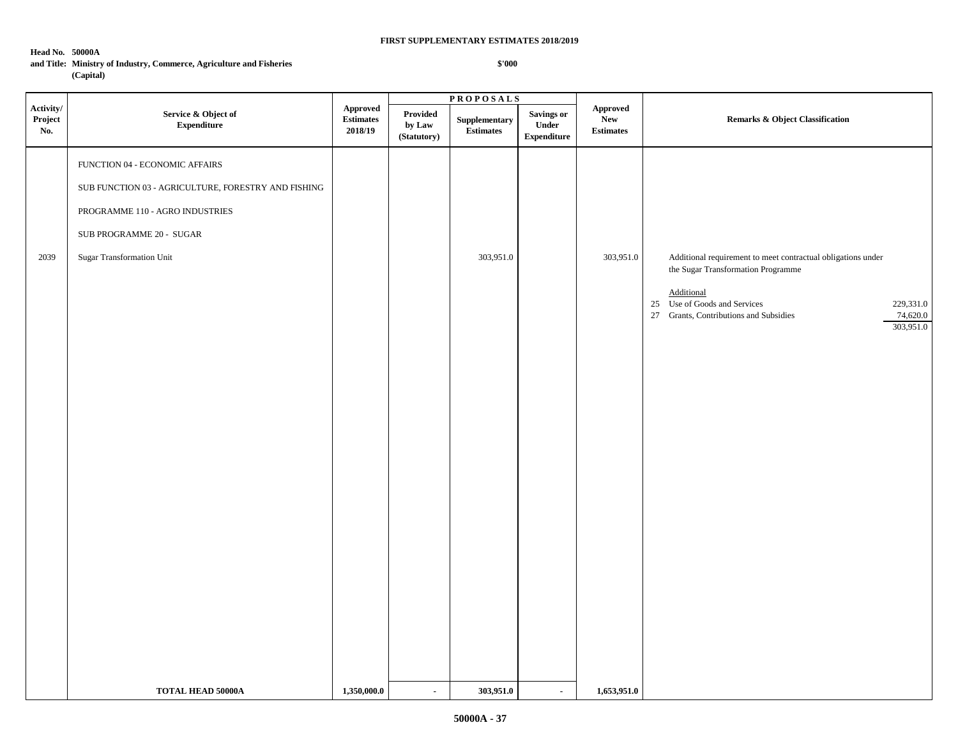## **Head No. 50000A**

 $\blacksquare$ 

## **and Title: Ministry of Industry, Commerce, Agriculture and Fisheries (Capital)**

|                             |                                                                                                                                                                                   |                                         | <b>PROPOSALS</b>                  |                                           |                                            |                                                          |                                                                                                                                                                                                                                  |
|-----------------------------|-----------------------------------------------------------------------------------------------------------------------------------------------------------------------------------|-----------------------------------------|-----------------------------------|-------------------------------------------|--------------------------------------------|----------------------------------------------------------|----------------------------------------------------------------------------------------------------------------------------------------------------------------------------------------------------------------------------------|
| Activity/<br>Project<br>No. | Service & Object of<br><b>Expenditure</b>                                                                                                                                         | <b>Approved</b><br>Estimates<br>2018/19 | Provided<br>by Law<br>(Statutory) | ${\large \bf Supplementary}$<br>Estimates | Savings or<br>Under<br>${\bf Expenditure}$ | ${\Large\bf Approved}$<br><b>New</b><br><b>Estimates</b> | Remarks & Object Classification                                                                                                                                                                                                  |
| 2039                        | FUNCTION 04 - ECONOMIC AFFAIRS<br>SUB FUNCTION 03 - AGRICULTURE, FORESTRY AND FISHING<br>PROGRAMME 110 - AGRO INDUSTRIES<br>SUB PROGRAMME 20 - SUGAR<br>Sugar Transformation Unit |                                         |                                   | 303,951.0                                 |                                            | 303,951.0                                                | Additional requirement to meet contractual obligations under<br>the Sugar Transformation Programme<br>Additional<br>25 Use of Goods and Services<br>229,331.0<br>27 Grants, Contributions and Subsidies<br>74,620.0<br>303,951.0 |
|                             | <b>TOTAL HEAD 50000A</b>                                                                                                                                                          | 1,350,000.0                             | $\sim$                            | 303,951.0                                 | $\sim$                                     | 1,653,951.0                                              |                                                                                                                                                                                                                                  |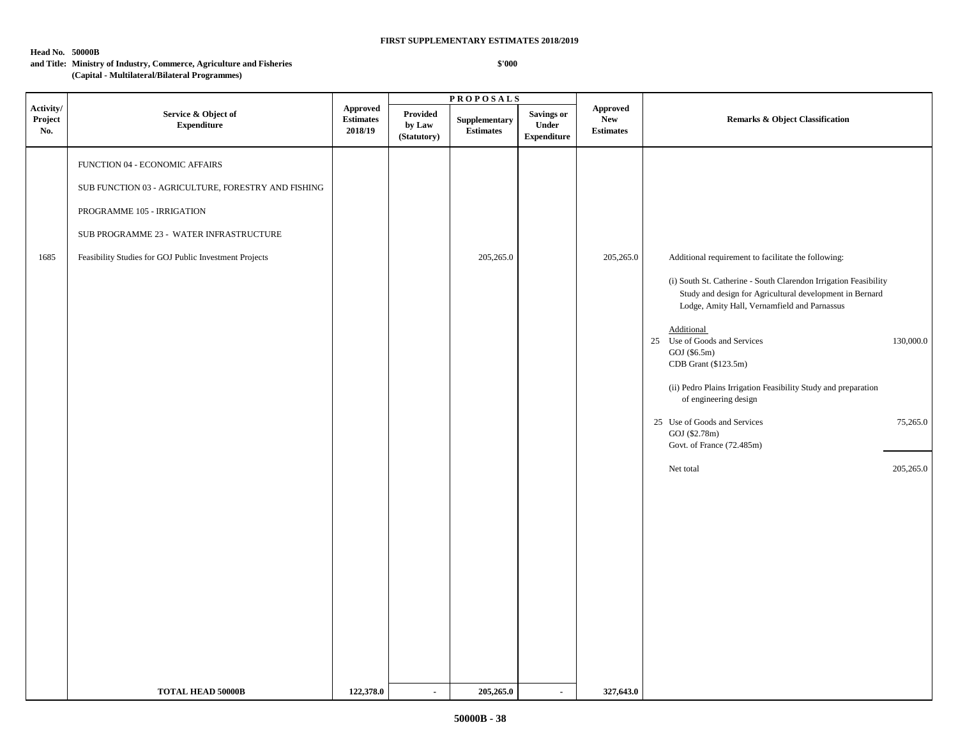## **Head No. 50000B**

 $\blacksquare$ 

#### **and Title: Ministry of Industry, Commerce, Agriculture and Fisheries (Capital - Multilateral/Bilateral Programmes)**

|                             |                                                                                                                                                                                                                          |                                               | <b>PROPOSALS</b>                  |                                                  |                                           |                                                   |                                                                                                                                                                                                                                                                                                                                                                                                                                                                                                                 |                                    |  |
|-----------------------------|--------------------------------------------------------------------------------------------------------------------------------------------------------------------------------------------------------------------------|-----------------------------------------------|-----------------------------------|--------------------------------------------------|-------------------------------------------|---------------------------------------------------|-----------------------------------------------------------------------------------------------------------------------------------------------------------------------------------------------------------------------------------------------------------------------------------------------------------------------------------------------------------------------------------------------------------------------------------------------------------------------------------------------------------------|------------------------------------|--|
| Activity/<br>Project<br>No. | Service & Object of<br><b>Expenditure</b>                                                                                                                                                                                | <b>Approved</b><br>$\bf Estimates$<br>2018/19 | Provided<br>by Law<br>(Statutory) | ${\large \bf Supplementary}$<br><b>Estimates</b> | Savings or<br>Under<br><b>Expenditure</b> | <b>Approved</b><br><b>New</b><br><b>Estimates</b> | Remarks & Object Classification                                                                                                                                                                                                                                                                                                                                                                                                                                                                                 |                                    |  |
| 1685                        | FUNCTION 04 - ECONOMIC AFFAIRS<br>SUB FUNCTION 03 - AGRICULTURE, FORESTRY AND FISHING<br>PROGRAMME 105 - IRRIGATION<br>SUB PROGRAMME 23 - WATER INFRASTRUCTURE<br>Feasibility Studies for GOJ Public Investment Projects |                                               |                                   | 205,265.0                                        |                                           | 205,265.0                                         | Additional requirement to facilitate the following:<br>(i) South St. Catherine - South Clarendon Irrigation Feasibility<br>Study and design for Agricultural development in Bernard<br>Lodge, Amity Hall, Vernamfield and Parnassus<br>Additional<br>25 Use of Goods and Services<br>GOJ (\$6.5m)<br>CDB Grant (\$123.5m)<br>(ii) Pedro Plains Irrigation Feasibility Study and preparation<br>of engineering design<br>25 Use of Goods and Services<br>GOJ (\$2.78m)<br>Govt. of France (72.485m)<br>Net total | 130,000.0<br>75,265.0<br>205,265.0 |  |
|                             | <b>TOTAL HEAD 50000B</b>                                                                                                                                                                                                 | 122,378.0                                     | $\blacksquare$                    | 205,265.0                                        | $\blacksquare$                            | 327,643.0                                         |                                                                                                                                                                                                                                                                                                                                                                                                                                                                                                                 |                                    |  |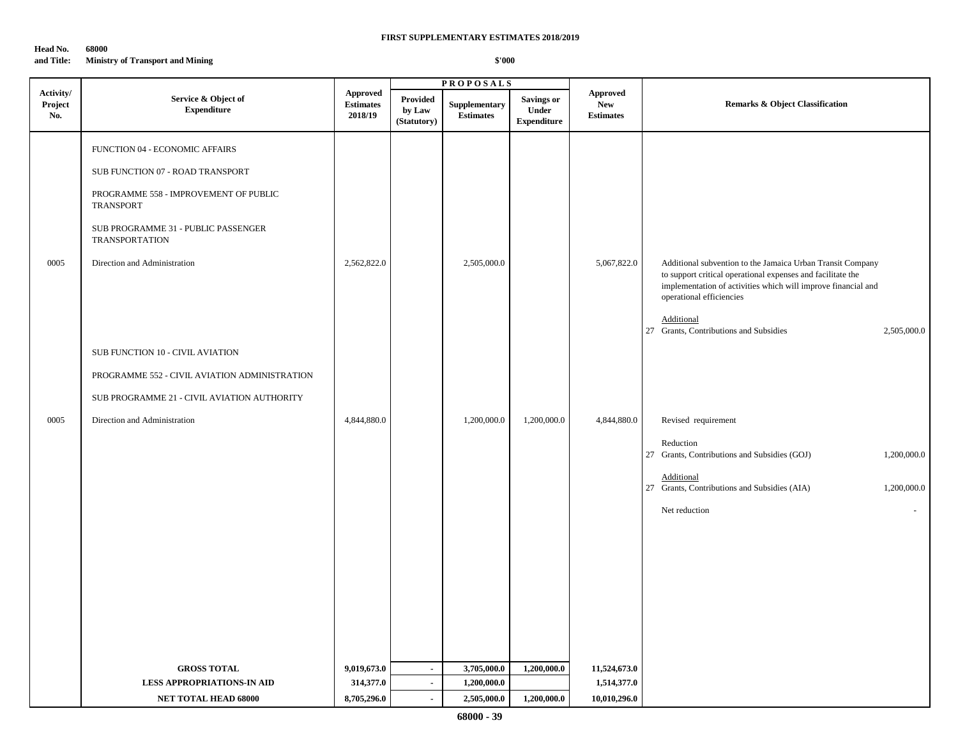## **Head No. 68000 and Title: Ministry of Transport and Mining**

|                             |                                                                                                                                                                                                                                                                                                                                                              |                                                | <b>PROPOSALS</b>                   |                                           |                                                  |                                                   |                                                                                                                                                                                                                                                                                               |
|-----------------------------|--------------------------------------------------------------------------------------------------------------------------------------------------------------------------------------------------------------------------------------------------------------------------------------------------------------------------------------------------------------|------------------------------------------------|------------------------------------|-------------------------------------------|--------------------------------------------------|---------------------------------------------------|-----------------------------------------------------------------------------------------------------------------------------------------------------------------------------------------------------------------------------------------------------------------------------------------------|
| Activity/<br>Project<br>No. | Service & Object of<br><b>Expenditure</b>                                                                                                                                                                                                                                                                                                                    | <b>Approved</b><br><b>Estimates</b><br>2018/19 | Provided<br>by Law<br>(Statutory)  | Supplementary<br><b>Estimates</b>         | <b>Savings or</b><br>Under<br><b>Expenditure</b> | <b>Approved</b><br><b>New</b><br><b>Estimates</b> | <b>Remarks &amp; Object Classification</b>                                                                                                                                                                                                                                                    |
| 0005                        | FUNCTION 04 - ECONOMIC AFFAIRS<br>SUB FUNCTION 07 - ROAD TRANSPORT<br>PROGRAMME 558 - IMPROVEMENT OF PUBLIC<br>TRANSPORT<br>SUB PROGRAMME 31 - PUBLIC PASSENGER<br><b>TRANSPORTATION</b><br>Direction and Administration<br>SUB FUNCTION 10 - CIVIL AVIATION<br>PROGRAMME 552 - CIVIL AVIATION ADMINISTRATION<br>SUB PROGRAMME 21 - CIVIL AVIATION AUTHORITY | 2,562,822.0                                    |                                    | 2,505,000.0                               |                                                  | 5,067,822.0                                       | Additional subvention to the Jamaica Urban Transit Company<br>to support critical operational expenses and facilitate the<br>implementation of activities which will improve financial and<br>operational efficiencies<br>Additional<br>27 Grants, Contributions and Subsidies<br>2,505,000.0 |
| 0005                        | Direction and Administration                                                                                                                                                                                                                                                                                                                                 | 4,844,880.0                                    |                                    | 1,200,000.0                               | 1,200,000.0                                      | 4,844,880.0                                       | Revised requirement<br>Reduction<br>27 Grants, Contributions and Subsidies (GOJ)<br>1,200,000.0<br>Additional<br>27 Grants, Contributions and Subsidies (AIA)<br>1,200,000.0<br>Net reduction                                                                                                 |
|                             | <b>GROSS TOTAL</b><br><b>LESS APPROPRIATIONS-IN AID</b><br>NET TOTAL HEAD 68000                                                                                                                                                                                                                                                                              | 9,019,673.0<br>314,377.0<br>8,705,296.0        | $\sim$<br>$\blacksquare$<br>$\sim$ | 3,705,000.0<br>1,200,000.0<br>2,505,000.0 | 1,200,000.0<br>1,200,000.0                       | 11,524,673.0<br>1,514,377.0<br>10,010,296.0       |                                                                                                                                                                                                                                                                                               |